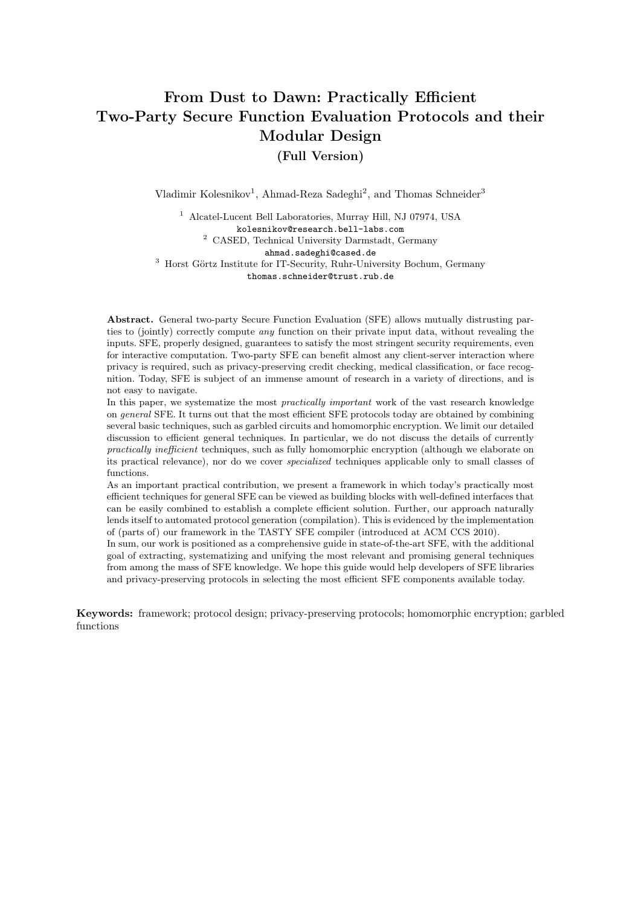# <span id="page-0-0"></span>From Dust to Dawn: Practically Efficient Two-Party Secure Function Evaluation Protocols and their Modular Design

(Full Version)

Vladimir Kolesnikov<sup>1</sup>, Ahmad-Reza Sadeghi<sup>2</sup>, and Thomas Schneider<sup>3</sup>

<sup>1</sup> Alcatel-Lucent Bell Laboratories, Murray Hill, NJ 07974, USA kolesnikov@research.bell-labs.com <sup>2</sup> CASED, Technical University Darmstadt, Germany ahmad.sadeghi@cased.de <sup>3</sup> Horst Görtz Institute for IT-Security, Ruhr-University Bochum, Germany thomas.schneider@trust.rub.de

Abstract. General two-party Secure Function Evaluation (SFE) allows mutually distrusting parties to (jointly) correctly compute any function on their private input data, without revealing the inputs. SFE, properly designed, guarantees to satisfy the most stringent security requirements, even for interactive computation. Two-party SFE can benefit almost any client-server interaction where privacy is required, such as privacy-preserving credit checking, medical classification, or face recognition. Today, SFE is subject of an immense amount of research in a variety of directions, and is not easy to navigate.

In this paper, we systematize the most *practically important* work of the vast research knowledge on general SFE. It turns out that the most efficient SFE protocols today are obtained by combining several basic techniques, such as garbled circuits and homomorphic encryption. We limit our detailed discussion to efficient general techniques. In particular, we do not discuss the details of currently practically inefficient techniques, such as fully homomorphic encryption (although we elaborate on its practical relevance), nor do we cover specialized techniques applicable only to small classes of functions.

As an important practical contribution, we present a framework in which today's practically most efficient techniques for general SFE can be viewed as building blocks with well-defined interfaces that can be easily combined to establish a complete efficient solution. Further, our approach naturally lends itself to automated protocol generation (compilation). This is evidenced by the implementation of (parts of) our framework in the TASTY SFE compiler (introduced at ACM CCS 2010).

In sum, our work is positioned as a comprehensive guide in state-of-the-art SFE, with the additional goal of extracting, systematizing and unifying the most relevant and promising general techniques from among the mass of SFE knowledge. We hope this guide would help developers of SFE libraries and privacy-preserving protocols in selecting the most efficient SFE components available today.

Keywords: framework; protocol design; privacy-preserving protocols; homomorphic encryption; garbled functions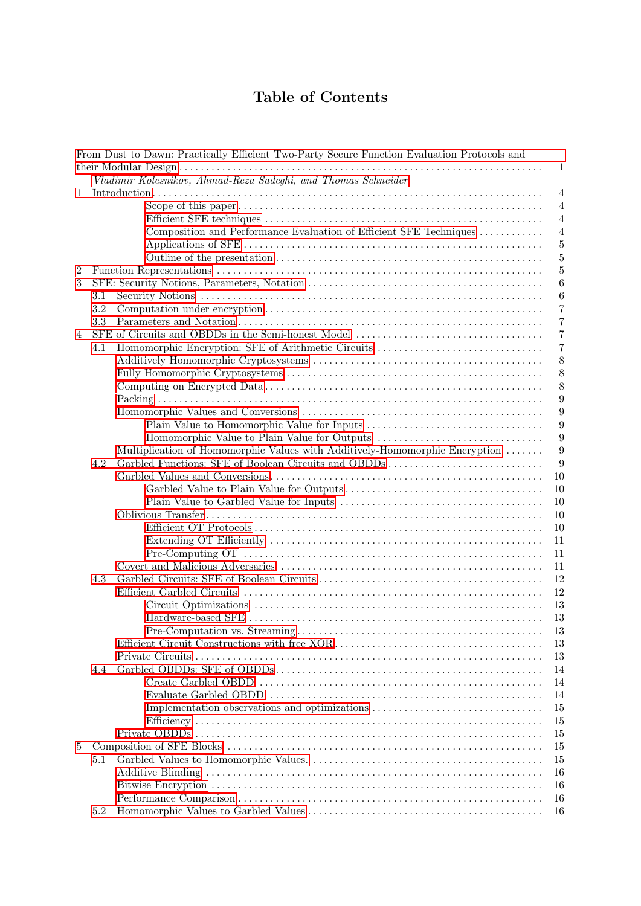# Table of Contents

|                  |         | From Dust to Dawn: Practically Efficient Two-Party Secure Function Evaluation Protocols and |                  |
|------------------|---------|---------------------------------------------------------------------------------------------|------------------|
|                  |         |                                                                                             | 1                |
|                  |         | Vladimir Kolesnikov, Ahmad-Reza Sadeghi, and Thomas Schneider                               |                  |
| $\mathbf 1$      |         |                                                                                             | $\overline{4}$   |
|                  |         |                                                                                             | $\overline{4}$   |
|                  |         |                                                                                             | $\overline{4}$   |
|                  |         | Composition and Performance Evaluation of Efficient SFE Techniques                          | $\overline{4}$   |
|                  |         |                                                                                             | $\overline{5}$   |
|                  |         |                                                                                             | $\overline{5}$   |
| $\boldsymbol{2}$ |         |                                                                                             | $\overline{5}$   |
| 3                |         |                                                                                             | 6                |
|                  | 3.1     |                                                                                             | $\boldsymbol{6}$ |
|                  | 3.2     |                                                                                             | $\overline{7}$   |
|                  | 3.3     |                                                                                             | $\overline{7}$   |
| $\overline{4}$   |         |                                                                                             | $\overline{7}$   |
|                  | 4.1     | Homomorphic Encryption: SFE of Arithmetic Circuits                                          | $\overline{7}$   |
|                  |         |                                                                                             | 8                |
|                  |         |                                                                                             | 8                |
|                  |         |                                                                                             | 8                |
|                  |         |                                                                                             | 9                |
|                  |         |                                                                                             | 9                |
|                  |         |                                                                                             | 9                |
|                  |         |                                                                                             | 9                |
|                  |         | Multiplication of Homomorphic Values with Additively-Homomorphic Encryption                 | 9                |
|                  | 4.2     |                                                                                             | 9                |
|                  |         |                                                                                             | 10               |
|                  |         |                                                                                             | 10               |
|                  |         |                                                                                             |                  |
|                  |         |                                                                                             | 10               |
|                  |         |                                                                                             | 10               |
|                  |         |                                                                                             | 10               |
|                  |         |                                                                                             | 11               |
|                  |         |                                                                                             | 11               |
|                  |         |                                                                                             | 11               |
|                  | 4.3     |                                                                                             | 12               |
|                  |         |                                                                                             | 12               |
|                  |         |                                                                                             | 13               |
|                  |         |                                                                                             | 13               |
|                  |         |                                                                                             | 13               |
|                  |         |                                                                                             | 13               |
|                  |         |                                                                                             | 13               |
|                  | 4.4     |                                                                                             | 14               |
|                  |         |                                                                                             | 14               |
|                  |         |                                                                                             | 14               |
|                  |         | Implementation observations and optimizations                                               | 15               |
|                  |         |                                                                                             | 15               |
|                  |         |                                                                                             | 15               |
| 5                |         |                                                                                             | 15               |
|                  | $5.1\,$ |                                                                                             | 15               |
|                  |         |                                                                                             | 16               |
|                  |         |                                                                                             | 16               |
|                  |         |                                                                                             | 16               |
|                  | 5.2     |                                                                                             | 16               |
|                  |         |                                                                                             |                  |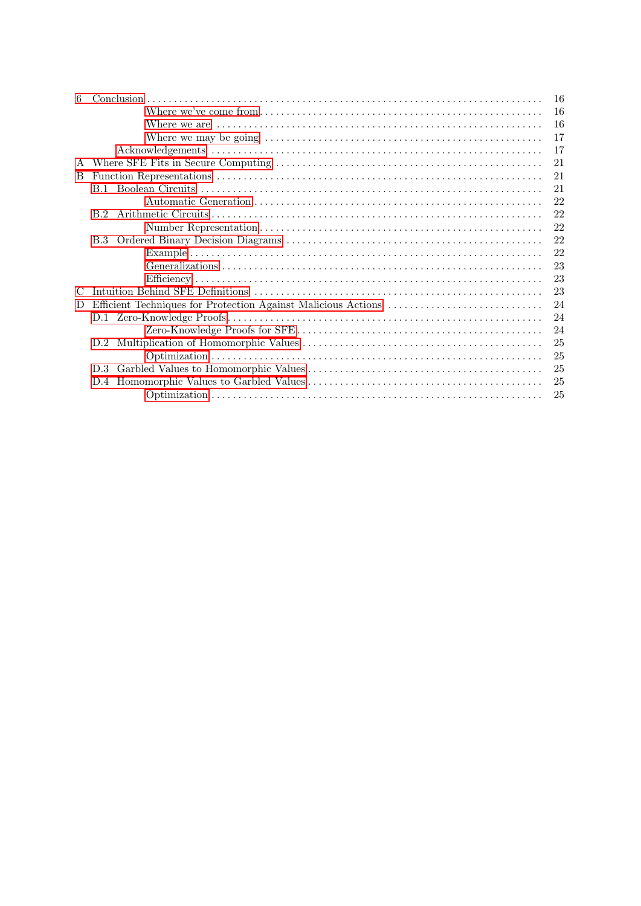| 6             |     | 16 |
|---------------|-----|----|
|               |     | 16 |
|               |     | 16 |
|               |     | 17 |
|               |     | 17 |
| A             |     | 21 |
| B.            |     | 21 |
|               |     | 21 |
|               |     | 22 |
|               |     | 22 |
|               |     | 22 |
|               |     | 22 |
|               |     | 22 |
|               |     | 23 |
|               |     | 23 |
| $\mathcal{C}$ |     | 23 |
| D             |     | 24 |
|               |     | 24 |
|               |     | 24 |
|               | D.2 | 25 |
|               |     | 25 |
|               | D.3 | 25 |
|               | D.4 | 25 |
|               |     | 25 |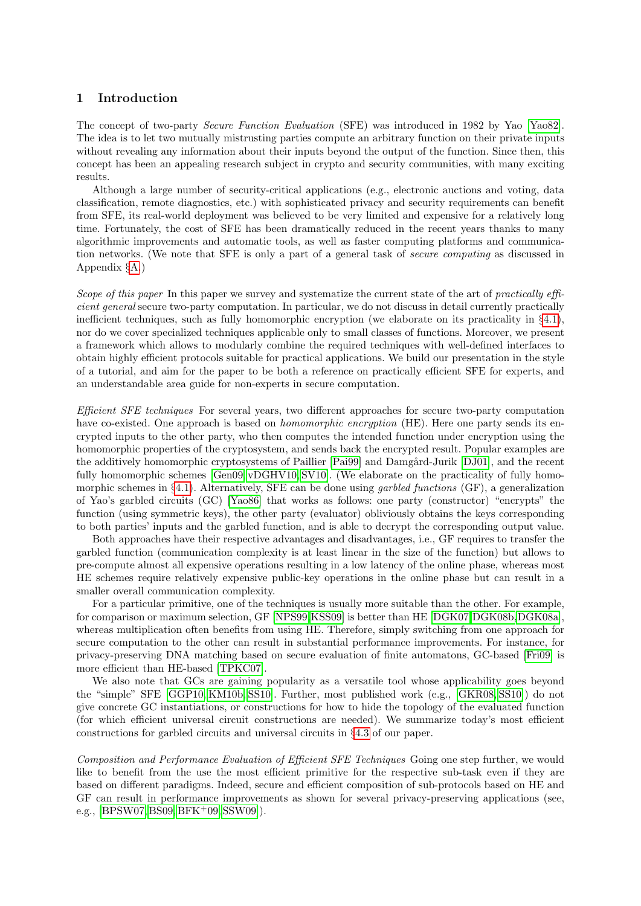## <span id="page-3-0"></span>1 Introduction

The concept of two-party Secure Function Evaluation (SFE) was introduced in 1982 by Yao [\[Yao82\]](#page-20-3). The idea is to let two mutually mistrusting parties compute an arbitrary function on their private inputs without revealing any information about their inputs beyond the output of the function. Since then, this concept has been an appealing research subject in crypto and security communities, with many exciting results.

Although a large number of security-critical applications (e.g., electronic auctions and voting, data classification, remote diagnostics, etc.) with sophisticated privacy and security requirements can benefit from SFE, its real-world deployment was believed to be very limited and expensive for a relatively long time. Fortunately, the cost of SFE has been dramatically reduced in the recent years thanks to many algorithmic improvements and automatic tools, as well as faster computing platforms and communication networks. (We note that SFE is only a part of a general task of secure computing as discussed in Appendix §[A.](#page-20-0))

<span id="page-3-1"></span>Scope of this paper In this paper we survey and systematize the current state of the art of practically efficient general secure two-party computation. In particular, we do not discuss in detail currently practically inefficient techniques, such as fully homomorphic encryption (we elaborate on its practicality in §[4.1\)](#page-7-1), nor do we cover specialized techniques applicable only to small classes of functions. Moreover, we present a framework which allows to modularly combine the required techniques with well-defined interfaces to obtain highly efficient protocols suitable for practical applications. We build our presentation in the style of a tutorial, and aim for the paper to be both a reference on practically efficient SFE for experts, and an understandable area guide for non-experts in secure computation.

<span id="page-3-2"></span>Efficient SFE techniques For several years, two different approaches for secure two-party computation have co-existed. One approach is based on *homomorphic encryption* (HE). Here one party sends its encrypted inputs to the other party, who then computes the intended function under encryption using the homomorphic properties of the cryptosystem, and sends back the encrypted result. Popular examples are the additively homomorphic cryptosystems of Paillier [\[Pai99\]](#page-19-0) and Damgård-Jurik [\[DJ01\]](#page-17-0), and the recent fully homomorphic schemes [\[Gen09,](#page-17-1) [vDGHV10,](#page-20-4) [SV10\]](#page-19-1). (We elaborate on the practicality of fully homo-morphic schemes in §[4.1\)](#page-7-1). Alternatively, SFE can be done using *garbled functions* (GF), a generalization of Yao's garbled circuits (GC) [\[Yao86\]](#page-20-5) that works as follows: one party (constructor) "encrypts" the function (using symmetric keys), the other party (evaluator) obliviously obtains the keys corresponding to both parties' inputs and the garbled function, and is able to decrypt the corresponding output value.

Both approaches have their respective advantages and disadvantages, i.e., GF requires to transfer the garbled function (communication complexity is at least linear in the size of the function) but allows to pre-compute almost all expensive operations resulting in a low latency of the online phase, whereas most HE schemes require relatively expensive public-key operations in the online phase but can result in a smaller overall communication complexity.

For a particular primitive, one of the techniques is usually more suitable than the other. For example, for comparison or maximum selection, GF [\[NPS99,](#page-19-2)[KSS09\]](#page-18-0) is better than HE [\[DGK07,](#page-17-2)[DGK08b,](#page-17-3)[DGK08a\]](#page-17-4), whereas multiplication often benefits from using HE. Therefore, simply switching from one approach for secure computation to the other can result in substantial performance improvements. For instance, for privacy-preserving DNA matching based on secure evaluation of finite automatons, GC-based [\[Fri09\]](#page-17-5) is more efficient than HE-based [\[TPKC07\]](#page-20-6).

We also note that GCs are gaining popularity as a versatile tool whose applicability goes beyond the "simple" SFE [\[GGP10,](#page-17-6) [KM10b,](#page-18-1) [SS10\]](#page-19-3). Further, most published work (e.g., [\[GKR08,](#page-17-7) [SS10\]](#page-19-3)) do not give concrete GC instantiations, or constructions for how to hide the topology of the evaluated function (for which efficient universal circuit constructions are needed). We summarize today's most efficient constructions for garbled circuits and universal circuits in §[4.3](#page-11-0) of our paper.

<span id="page-3-3"></span>Composition and Performance Evaluation of Efficient SFE Techniques Going one step further, we would like to benefit from the use the most efficient primitive for the respective sub-task even if they are based on different paradigms. Indeed, secure and efficient composition of sub-protocols based on HE and GF can result in performance improvements as shown for several privacy-preserving applications (see, e.g.,  $[BFSW07, BS09, BFK^+09, SSW09]$  $[BFSW07, BS09, BFK^+09, SSW09]$  $[BFSW07, BS09, BFK^+09, SSW09]$  $[BFSW07, BS09, BFK^+09, SSW09]$  $[BFSW07, BS09, BFK^+09, SSW09]$ .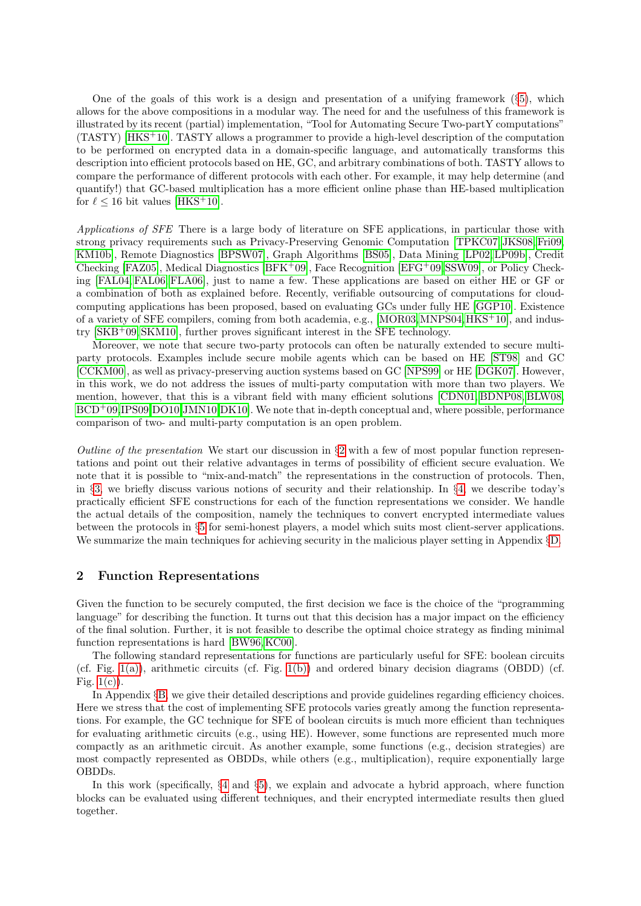One of the goals of this work is a design and presentation of a unifying framework  $(\S5)$  $(\S5)$ , which allows for the above compositions in a modular way. The need for and the usefulness of this framework is illustrated by its recent (partial) implementation, "Tool for Automating Secure Two-partY computations" (TASTY) [\[HKS](#page-18-2)+10]. TASTY allows a programmer to provide a high-level description of the computation to be performed on encrypted data in a domain-specific language, and automatically transforms this description into efficient protocols based on HE, GC, and arbitrary combinations of both. TASTY allows to compare the performance of different protocols with each other. For example, it may help determine (and quantify!) that GC-based multiplication has a more efficient online phase than HE-based multiplication for  $\ell$  < 16 bit values [\[HKS](#page-18-2)<sup>+</sup>10].

<span id="page-4-0"></span>Applications of SFE There is a large body of literature on SFE applications, in particular those with strong privacy requirements such as Privacy-Preserving Genomic Computation [\[TPKC07,](#page-20-6) [JKS08,](#page-18-3) [Fri09,](#page-17-5) [KM10b\]](#page-18-1), Remote Diagnostics [\[BPSW07\]](#page-16-2), Graph Algorithms [\[BS05\]](#page-16-5), Data Mining [\[LP02,](#page-19-5) [LP09b\]](#page-19-6), Credit Checking [\[FAZ05\]](#page-17-8), Medical Diagnostics [\[BFK](#page-16-4)+09], Face Recognition [\[EFG](#page-17-9)+09, SSW09], or Policy Checking [\[FAL04,](#page-17-10) [FAL06,](#page-17-11) [FLA06\]](#page-17-12), just to name a few. These applications are based on either HE or GF or a combination of both as explained before. Recently, verifiable outsourcing of computations for cloudcomputing applications has been proposed, based on evaluating GCs under fully HE [\[GGP10\]](#page-17-6). Existence of a variety of SFE compilers, coming from both academia, e.g., [\[MOR03,](#page-19-7)[MNPS04,](#page-19-8)[HKS](#page-18-2)+10], and industry [\[SKB](#page-19-9)+09, [SKM10\]](#page-19-10), further proves significant interest in the SFE technology.

Moreover, we note that secure two-party protocols can often be naturally extended to secure multiparty protocols. Examples include secure mobile agents which can be based on HE [\[ST98\]](#page-19-11) and GC [\[CCKM00\]](#page-17-13), as well as privacy-preserving auction systems based on GC [\[NPS99\]](#page-19-2) or HE [\[DGK07\]](#page-17-2). However, in this work, we do not address the issues of multi-party computation with more than two players. We mention, however, that this is a vibrant field with many efficient solutions [\[CDN01,](#page-17-14) [BDNP08,](#page-16-6) [BLW08,](#page-16-7) [BCD](#page-16-8)<sup>+</sup>09[,IPS09](#page-18-4)[,DO10,](#page-17-15)[JMN10,](#page-18-5)[DK10\]](#page-17-16). We note that in-depth conceptual and, where possible, performance comparison of two- and multi-party computation is an open problem.

<span id="page-4-1"></span>Outline of the presentation We start our discussion in  $\S2$  $\S2$  with a few of most popular function representations and point out their relative advantages in terms of possibility of efficient secure evaluation. We note that it is possible to "mix-and-match" the representations in the construction of protocols. Then, in §[3,](#page-5-0) we briefly discuss various notions of security and their relationship. In §[4,](#page-6-2) we describe today's practically efficient SFE constructions for each of the function representations we consider. We handle the actual details of the composition, namely the techniques to convert encrypted intermediate values between the protocols in §[5](#page-14-3) for semi-honest players, a model which suits most client-server applications. We summarize the main techniques for achieving security in the malicious player setting in Appendix §[D.](#page-23-0)

#### <span id="page-4-2"></span>2 Function Representations

Given the function to be securely computed, the first decision we face is the choice of the "programming language" for describing the function. It turns out that this decision has a major impact on the efficiency of the final solution. Further, it is not feasible to describe the optimal choice strategy as finding minimal function representations is hard [\[BW96,](#page-16-9) [KC00\]](#page-18-6).

The following standard representations for functions are particularly useful for SFE: boolean circuits (cf. Fig. [1\(a\)\)](#page-5-2), arithmetic circuits (cf. Fig. [1\(b\)\)](#page-5-3) and ordered binary decision diagrams (OBDD) (cf. Fig.  $1(c)$ ).

In Appendix §[B,](#page-20-1) we give their detailed descriptions and provide guidelines regarding efficiency choices. Here we stress that the cost of implementing SFE protocols varies greatly among the function representations. For example, the GC technique for SFE of boolean circuits is much more efficient than techniques for evaluating arithmetic circuits (e.g., using HE). However, some functions are represented much more compactly as an arithmetic circuit. As another example, some functions (e.g., decision strategies) are most compactly represented as OBDDs, while others (e.g., multiplication), require exponentially large OBDDs.

In this work (specifically, §[4](#page-6-2) and §[5\)](#page-14-3), we explain and advocate a hybrid approach, where function blocks can be evaluated using different techniques, and their encrypted intermediate results then glued together.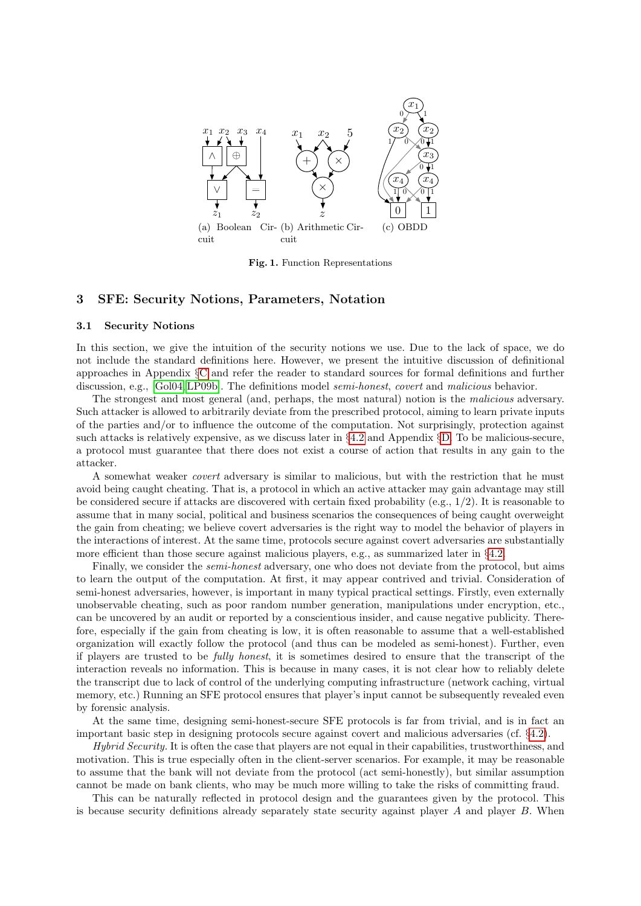<span id="page-5-2"></span>

<span id="page-5-4"></span><span id="page-5-3"></span>Fig. 1. Function Representations

## <span id="page-5-0"></span>3 SFE: Security Notions, Parameters, Notation

#### <span id="page-5-1"></span>3.1 Security Notions

In this section, we give the intuition of the security notions we use. Due to the lack of space, we do not include the standard definitions here. However, we present the intuitive discussion of definitional approaches in Appendix §[C](#page-22-2) and refer the reader to standard sources for formal definitions and further discussion, e.g., [\[Gol04,](#page-18-7) [LP09b\]](#page-19-6). The definitions model *semi-honest, covert* and *malicious* behavior.

The strongest and most general (and, perhaps, the most natural) notion is the malicious adversary. Such attacker is allowed to arbitrarily deviate from the prescribed protocol, aiming to learn private inputs of the parties and/or to influence the outcome of the computation. Not surprisingly, protection against such attacks is relatively expensive, as we discuss later in §[4.2](#page-10-2) and Appendix §[D.](#page-23-0) To be malicious-secure, a protocol must guarantee that there does not exist a course of action that results in any gain to the attacker.

A somewhat weaker covert adversary is similar to malicious, but with the restriction that he must avoid being caught cheating. That is, a protocol in which an active attacker may gain advantage may still be considered secure if attacks are discovered with certain fixed probability (e.g., 1/2). It is reasonable to assume that in many social, political and business scenarios the consequences of being caught overweight the gain from cheating; we believe covert adversaries is the right way to model the behavior of players in the interactions of interest. At the same time, protocols secure against covert adversaries are substantially more efficient than those secure against malicious players, e.g., as summarized later in §[4.2.](#page-10-2)

Finally, we consider the *semi-honest* adversary, one who does not deviate from the protocol, but aims to learn the output of the computation. At first, it may appear contrived and trivial. Consideration of semi-honest adversaries, however, is important in many typical practical settings. Firstly, even externally unobservable cheating, such as poor random number generation, manipulations under encryption, etc., can be uncovered by an audit or reported by a conscientious insider, and cause negative publicity. Therefore, especially if the gain from cheating is low, it is often reasonable to assume that a well-established organization will exactly follow the protocol (and thus can be modeled as semi-honest). Further, even if players are trusted to be fully honest, it is sometimes desired to ensure that the transcript of the interaction reveals no information. This is because in many cases, it is not clear how to reliably delete the transcript due to lack of control of the underlying computing infrastructure (network caching, virtual memory, etc.) Running an SFE protocol ensures that player's input cannot be subsequently revealed even by forensic analysis.

At the same time, designing semi-honest-secure SFE protocols is far from trivial, and is in fact an important basic step in designing protocols secure against covert and malicious adversaries (cf. §[4.2\)](#page-10-2).

Hybrid Security. It is often the case that players are not equal in their capabilities, trustworthiness, and motivation. This is true especially often in the client-server scenarios. For example, it may be reasonable to assume that the bank will not deviate from the protocol (act semi-honestly), but similar assumption cannot be made on bank clients, who may be much more willing to take the risks of committing fraud.

This can be naturally reflected in protocol design and the guarantees given by the protocol. This is because security definitions already separately state security against player  $A$  and player  $B$ . When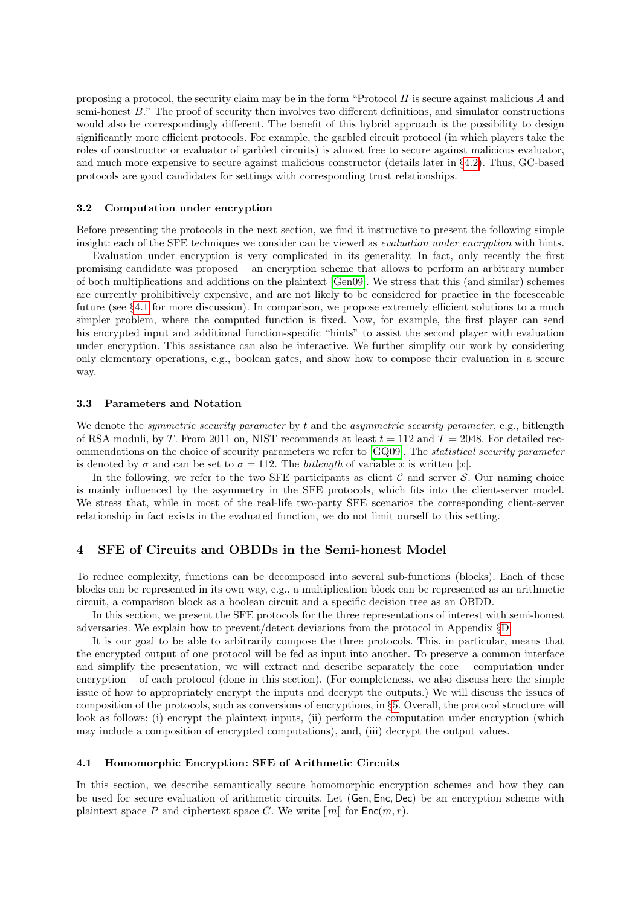proposing a protocol, the security claim may be in the form "Protocol  $\Pi$  is secure against malicious  $\Lambda$  and semi-honest B." The proof of security then involves two different definitions, and simulator constructions would also be correspondingly different. The benefit of this hybrid approach is the possibility to design significantly more efficient protocols. For example, the garbled circuit protocol (in which players take the roles of constructor or evaluator of garbled circuits) is almost free to secure against malicious evaluator, and much more expensive to secure against malicious constructor (details later in §[4.2\)](#page-10-2). Thus, GC-based protocols are good candidates for settings with corresponding trust relationships.

#### <span id="page-6-0"></span>3.2 Computation under encryption

Before presenting the protocols in the next section, we find it instructive to present the following simple insight: each of the SFE techniques we consider can be viewed as evaluation under encryption with hints.

Evaluation under encryption is very complicated in its generality. In fact, only recently the first promising candidate was proposed – an encryption scheme that allows to perform an arbitrary number of both multiplications and additions on the plaintext [\[Gen09\]](#page-17-1). We stress that this (and similar) schemes are currently prohibitively expensive, and are not likely to be considered for practice in the foreseeable future (see §[4.1](#page-6-3) for more discussion). In comparison, we propose extremely efficient solutions to a much simpler problem, where the computed function is fixed. Now, for example, the first player can send his encrypted input and additional function-specific "hints" to assist the second player with evaluation under encryption. This assistance can also be interactive. We further simplify our work by considering only elementary operations, e.g., boolean gates, and show how to compose their evaluation in a secure way.

#### <span id="page-6-1"></span>3.3 Parameters and Notation

We denote the *symmetric security parameter* by t and the *asymmetric security parameter*, e.g., bitlength of RSA moduli, by T. From 2011 on, NIST recommends at least  $t = 112$  and  $T = 2048$ . For detailed recommendations on the choice of security parameters we refer to [\[GQ09\]](#page-18-8). The statistical security parameter is denoted by  $\sigma$  and can be set to  $\sigma = 112$ . The *bitlength* of variable x is written |x|.

In the following, we refer to the two SFE participants as client  $C$  and server  $S$ . Our naming choice is mainly influenced by the asymmetry in the SFE protocols, which fits into the client-server model. We stress that, while in most of the real-life two-party SFE scenarios the corresponding client-server relationship in fact exists in the evaluated function, we do not limit ourself to this setting.

## <span id="page-6-2"></span>4 SFE of Circuits and OBDDs in the Semi-honest Model

To reduce complexity, functions can be decomposed into several sub-functions (blocks). Each of these blocks can be represented in its own way, e.g., a multiplication block can be represented as an arithmetic circuit, a comparison block as a boolean circuit and a specific decision tree as an OBDD.

In this section, we present the SFE protocols for the three representations of interest with semi-honest adversaries. We explain how to prevent/detect deviations from the protocol in Appendix §[D.](#page-23-0)

It is our goal to be able to arbitrarily compose the three protocols. This, in particular, means that the encrypted output of one protocol will be fed as input into another. To preserve a common interface and simplify the presentation, we will extract and describe separately the core – computation under encryption – of each protocol (done in this section). (For completeness, we also discuss here the simple issue of how to appropriately encrypt the inputs and decrypt the outputs.) We will discuss the issues of composition of the protocols, such as conversions of encryptions, in §[5.](#page-14-3) Overall, the protocol structure will look as follows: (i) encrypt the plaintext inputs, (ii) perform the computation under encryption (which may include a composition of encrypted computations), and, (iii) decrypt the output values.

#### <span id="page-6-3"></span>4.1 Homomorphic Encryption: SFE of Arithmetic Circuits

In this section, we describe semantically secure homomorphic encryption schemes and how they can be used for secure evaluation of arithmetic circuits. Let (Gen, Enc, Dec) be an encryption scheme with plaintext space P and ciphertext space C. We write  $\llbracket m \rrbracket$  for  $\textsf{Enc}(m, r)$ .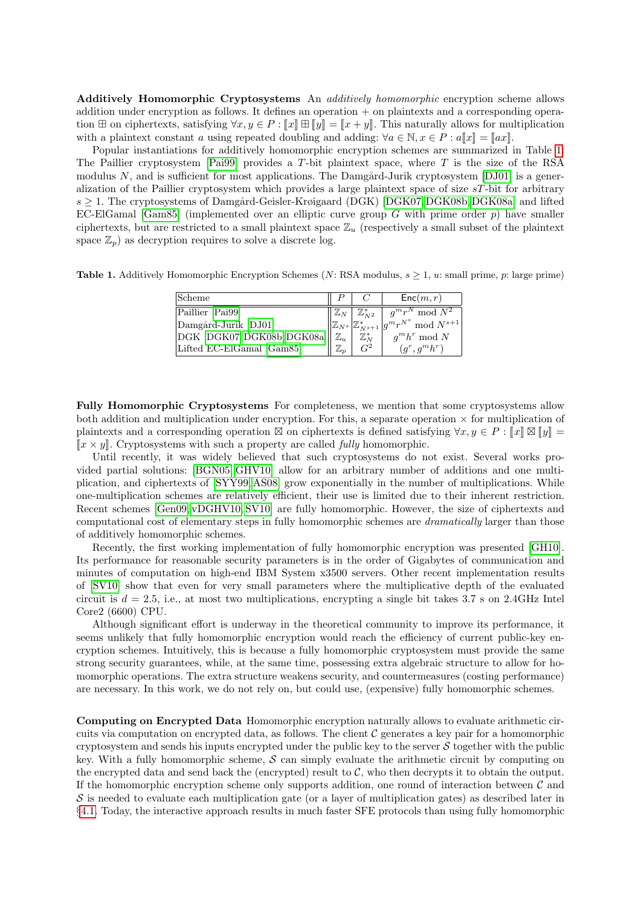<span id="page-7-0"></span>Additively Homomorphic Cryptosystems An *additively homomorphic* encryption scheme allows addition under encryption as follows. It defines an operation + on plaintexts and a corresponding operation  $\boxplus$  on ciphertexts, satisfying  $\forall x, y \in P : \llbracket x \rrbracket \boxplus \llbracket y \rrbracket = \llbracket x + y \rrbracket$ . This naturally allows for multiplication with a plaintext constant a using repeated doubling and adding:  $\forall a \in \mathbb{N}, x \in P : a\llbracket x \rrbracket = \llbracket ax \rrbracket$ .

Popular instantiations for additively homomorphic encryption schemes are summarized in Table [1:](#page-7-3) The Paillier cryptosystem [\[Pai99\]](#page-19-0) provides a  $T$ -bit plaintext space, where  $T$  is the size of the RSA modulus  $N$ , and is sufficient for most applications. The Damgård-Jurik cryptosystem [\[DJ01\]](#page-17-0) is a generalization of the Paillier cryptosystem which provides a large plaintext space of size  $sT$ -bit for arbitrary  $s > 1$ . The cryptosystems of Damgård-Geisler-Krøigaard (DGK) [\[DGK07,](#page-17-2) [DGK08b,](#page-17-3) [DGK08a\]](#page-17-4) and lifted EC-ElGamal [\[Gam85\]](#page-17-17) (implemented over an elliptic curve group G with prime order  $p$ ) have smaller ciphertexts, but are restricted to a small plaintext space  $\mathbb{Z}_u$  (respectively a small subset of the plaintext space  $\mathbb{Z}_p$ ) as decryption requires to solve a discrete log.

<span id="page-7-3"></span>**Table 1.** Additively Homomorphic Encryption Schemes (N: RSA modulus,  $s \geq 1$ , u: small prime, p: large prime)

| <b>Scheme</b>                                             |                |                                    | Enc(m, r)                                                                             |
|-----------------------------------------------------------|----------------|------------------------------------|---------------------------------------------------------------------------------------|
| Paillier [Pai99]                                          |                | $\mathbb{Z}_N$ $\mathbb{Z}_{N2}^*$ | $q^m r^N \mod N^2$                                                                    |
| Damgård-Jurik [DJ01]                                      |                |                                    | $\ \mathbb{Z}_{N^s}\big  \mathbb{Z}^*_{N^{s+1}}\big  g^mr^{N^s}\ \text{mod}\ N^{s+1}$ |
| $\ \text{DGK}$ [DGK07, DGK08b, DGK08a] $\ \mathbb{Z}_u\ $ |                | $\mathbb{Z}_N^*$                   | $q^m h^r \mod N$                                                                      |
| Lifted EC-ElGamal [Gam85]                                 | $\mathbb{Z}_n$ | $\mathcal{C}^2$                    | $(q^r, q^m h^r)$                                                                      |

<span id="page-7-1"></span>Fully Homomorphic Cryptosystems For completeness, we mention that some cryptosystems allow both addition and multiplication under encryption. For this, a separate operation  $\times$  for multiplication of plaintexts and a corresponding operation  $\boxtimes$  on ciphertexts is defined satisfying  $\forall x, y \in P : \llbracket x \rrbracket \boxtimes \llbracket y \rrbracket = \llbracket x, y \rrbracket$  $\llbracket x \times y \rrbracket$ . Cryptosystems with such a property are called *fully* homomorphic.

Until recently, it was widely believed that such cryptosystems do not exist. Several works provided partial solutions: [\[BGN05,](#page-16-10) [GHV10\]](#page-17-18) allow for an arbitrary number of additions and one multiplication, and ciphertexts of [\[SYY99,](#page-19-12) [AS08\]](#page-16-11) grow exponentially in the number of multiplications. While one-multiplication schemes are relatively efficient, their use is limited due to their inherent restriction. Recent schemes [\[Gen09,](#page-17-1) [vDGHV10,](#page-20-4) [SV10\]](#page-19-1) are fully homomorphic. However, the size of ciphertexts and computational cost of elementary steps in fully homomorphic schemes are dramatically larger than those of additively homomorphic schemes.

Recently, the first working implementation of fully homomorphic encryption was presented [\[GH10\]](#page-17-19). Its performance for reasonable security parameters is in the order of Gigabytes of communication and minutes of computation on high-end IBM System x3500 servers. Other recent implementation results of [\[SV10\]](#page-19-1) show that even for very small parameters where the multiplicative depth of the evaluated circuit is  $d = 2.5$ , i.e., at most two multiplications, encrypting a single bit takes 3.7 s on 2.4GHz Intel Core2 (6600) CPU.

Although significant effort is underway in the theoretical community to improve its performance, it seems unlikely that fully homomorphic encryption would reach the efficiency of current public-key encryption schemes. Intuitively, this is because a fully homomorphic cryptosystem must provide the same strong security guarantees, while, at the same time, possessing extra algebraic structure to allow for homomorphic operations. The extra structure weakens security, and countermeasures (costing performance) are necessary. In this work, we do not rely on, but could use, (expensive) fully homomorphic schemes.

<span id="page-7-2"></span>Computing on Encrypted Data Homomorphic encryption naturally allows to evaluate arithmetic circuits via computation on encrypted data, as follows. The client  $\mathcal C$  generates a key pair for a homomorphic cryptosystem and sends his inputs encrypted under the public key to the server  $S$  together with the public key. With a fully homomorphic scheme,  $\mathcal S$  can simply evaluate the arithmetic circuit by computing on the encrypted data and send back the (encrypted) result to  $\mathcal{C}$ , who then decrypts it to obtain the output. If the homomorphic encryption scheme only supports addition, one round of interaction between  $\mathcal C$  and  $S$  is needed to evaluate each multiplication gate (or a layer of multiplication gates) as described later in §[4.1.](#page-8-4) Today, the interactive approach results in much faster SFE protocols than using fully homomorphic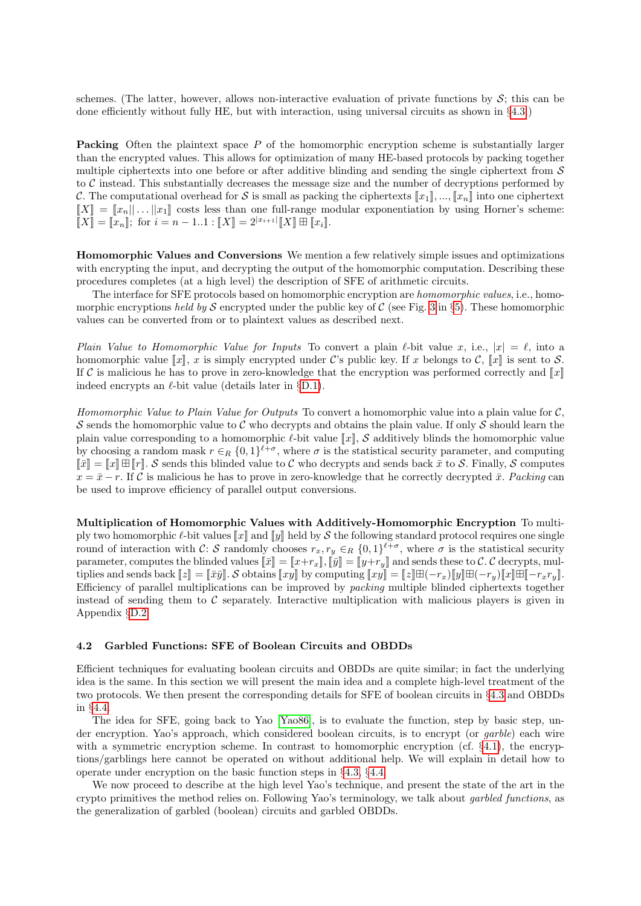schemes. (The latter, however, allows non-interactive evaluation of private functions by  $S$ ; this can be done efficiently without fully HE, but with interaction, using universal circuits as shown in §[4.3.](#page-12-4))

<span id="page-8-0"></span>Packing Often the plaintext space P of the homomorphic encryption scheme is substantially larger than the encrypted values. This allows for optimization of many HE-based protocols by packing together multiple ciphertexts into one before or after additive blinding and sending the single ciphertext from  $S$ to  $\mathcal C$  instead. This substantially decreases the message size and the number of decryptions performed by C. The computational overhead for S is small as packing the ciphertexts  $\llbracket x_1 \rrbracket, ..., \llbracket x_n \rrbracket$  into one ciphertext  $\llbracket X \rrbracket = \llbracket x_n \rrbracket \ldots \llbracket x_1 \rrbracket$  costs less than one full-range modular exponentiation by using Horner's scheme:  $\[\mathbb{I}[X]\!] = \[\mathbb{I}[x_n]\]$ ; for  $i = n - 1..1$  :  $\[\mathbb{I}[X]\!] = 2^{|x_{i+1}|} \[\mathbb{I}[X]\!] \boxplus \[\mathbb{I}[x_i]\]$ .

<span id="page-8-1"></span>Homomorphic Values and Conversions We mention a few relatively simple issues and optimizations with encrypting the input, and decrypting the output of the homomorphic computation. Describing these procedures completes (at a high level) the description of SFE of arithmetic circuits.

The interface for SFE protocols based on homomorphic encryption are homomorphic values, i.e., homo-morphic encryptions held by S encrypted under the public key of C (see Fig. [3](#page-14-5) in §[5\)](#page-14-3). These homomorphic values can be converted from or to plaintext values as described next.

<span id="page-8-2"></span>Plain Value to Homomorphic Value for Inputs To convert a plain  $\ell$ -bit value x, i.e.,  $|x| = \ell$ , into a homomorphic value  $\llbracket x \rrbracket$ , x is simply encrypted under C's public key. If x belongs to C,  $\llbracket x \rrbracket$  is sent to S. If C is malicious he has to prove in zero-knowledge that the encryption was performed correctly and  $\llbracket x \rrbracket$ indeed encrypts an  $\ell$ -bit value (details later in §[D.1\)](#page-23-1).

<span id="page-8-3"></span>Homomorphic Value to Plain Value for Outputs To convert a homomorphic value into a plain value for  $C$ , S sends the homomorphic value to C who decrypts and obtains the plain value. If only S should learn the plain value corresponding to a homomorphic  $\ell$ -bit value  $\llbracket x \rrbracket$ , S additively blinds the homomorphic value by choosing a random mask  $r \in_R \{0,1\}^{\ell+\sigma}$ , where  $\sigma$  is the statistical security parameter, and computing  $\|\bar{x}\| = \|x\| \boxplus \|r\|$ . S sends this blinded value to C who decrypts and sends back  $\bar{x}$  to S. Finally, S computes  $x = \bar{x} - r$ . If C is malicious he has to prove in zero-knowledge that he correctly decrypted  $\bar{x}$ . Packing can be used to improve efficiency of parallel output conversions.

<span id="page-8-4"></span>Multiplication of Homomorphic Values with Additively-Homomorphic Encryption To multiply two homomorphic  $\ell$ -bit values  $\llbracket x \rrbracket$  and  $\llbracket y \rrbracket$  held by S the following standard protocol requires one single round of interaction with C: S randomly chooses  $r_x, r_y \in_R \{0,1\}^{\ell+\sigma}$ , where  $\sigma$  is the statistical security parameter, computes the blinded values  $\llbracket \bar{x} \rrbracket = \llbracket x + r_x \rrbracket$ ,  $\llbracket \bar{y} \rrbracket = \llbracket y + r_y \rrbracket$  and sends these to C. C decrypts, multiplies and sends back  $[z] = [\bar{x}\bar{y}]\cdot \mathcal{S}$  obtains  $[x\bar{y}]$  by computing  $[x\bar{y}]=[\bar{z}]\boxplus (-r_x)[y]\boxplus (-r_y)[x]\boxplus [-r_xr_y].$ Efficiency of parallel multiplications can be improved by packing multiple blinded ciphertexts together instead of sending them to  $\mathcal C$  separately. Interactive multiplication with malicious players is given in Appendix §[D.2.](#page-24-0)

#### <span id="page-8-5"></span>4.2 Garbled Functions: SFE of Boolean Circuits and OBDDs

Efficient techniques for evaluating boolean circuits and OBDDs are quite similar; in fact the underlying idea is the same. In this section we will present the main idea and a complete high-level treatment of the two protocols. We then present the corresponding details for SFE of boolean circuits in §[4.3](#page-11-0) and OBDDs in §[4.4.](#page-13-0)

The idea for SFE, going back to Yao [\[Yao86\]](#page-20-5), is to evaluate the function, step by basic step, under encryption. Yao's approach, which considered boolean circuits, is to encrypt (or garble) each wire with a symmetric encryption scheme. In contrast to homomorphic encryption (cf.  $\S 4.1$ ), the encryptions/garblings here cannot be operated on without additional help. We will explain in detail how to operate under encryption on the basic function steps in §[4.3,](#page-11-0) §[4.4.](#page-13-0)

We now proceed to describe at the high level Yao's technique, and present the state of the art in the crypto primitives the method relies on. Following Yao's terminology, we talk about garbled functions, as the generalization of garbled (boolean) circuits and garbled OBDDs.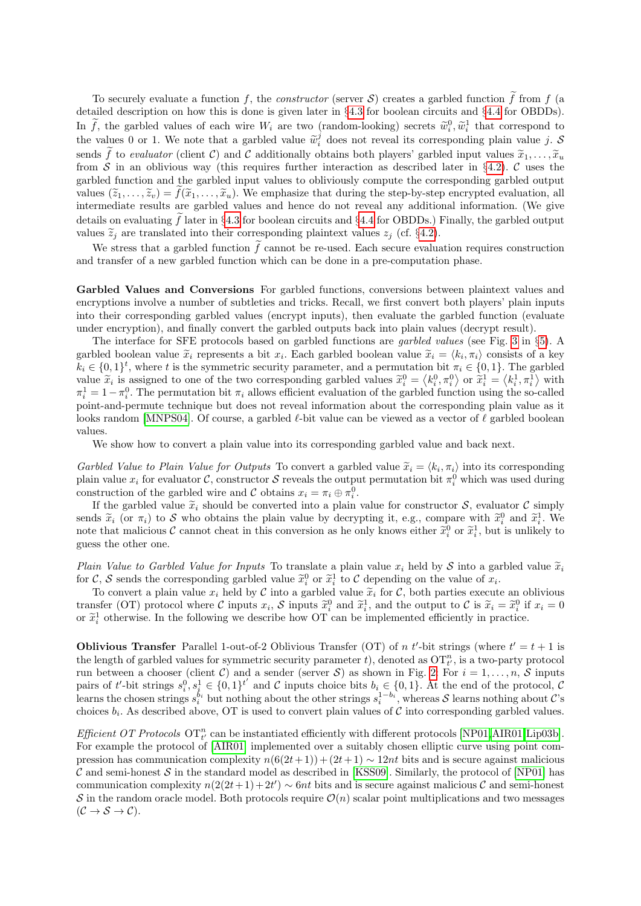To securely evaluate a function f, the *constructor* (server S) creates a garbled function f from f (a detailed description on how this is done is given later in §[4.3](#page-11-0) for boolean circuits and §[4.4](#page-13-0) for OBDDs). In f, the garbled values of each wire  $W_i$  are two (random-looking) secrets  $\tilde{w}_i^0, \tilde{w}_i^1$  that correspond to the values 0 or 1. We note that a garbled value  $\widetilde{w}_i^j$  does not reveal its corresponding plain value j.  $\widetilde{S}$ sends f to evaluator (client C) and C additionally obtains both players' garbled input values  $\tilde{x}_1, \ldots, \tilde{x}_u$ from S in an oblivious way (this requires further interaction as described later in §[4.2\)](#page-9-0). C uses the garbled function and the garbled input values to obliviously compute the corresponding garbled output values  $(\tilde{z}_1, \ldots, \tilde{z}_v) = \tilde{f}(\tilde{x}_1, \ldots, \tilde{x}_u)$ . We emphasize that during the step-by-step encrypted evaluation, all intermediate results are garbled values and hence do not reveal any additional information. (We give details on evaluating f later in §[4.3](#page-11-0) for boolean circuits and §[4.4](#page-13-0) for OBDDs.) Finally, the garbled output values  $\tilde{z}_i$  are translated into their corresponding plaintext values  $z_i$  (cf. §[4.2\)](#page-9-0).

We stress that a garbled function  $\tilde{f}$  cannot be re-used. Each secure evaluation requires construction and transfer of a new garbled function which can be done in a pre-computation phase.

<span id="page-9-0"></span>Garbled Values and Conversions For garbled functions, conversions between plaintext values and encryptions involve a number of subtleties and tricks. Recall, we first convert both players' plain inputs into their corresponding garbled values (encrypt inputs), then evaluate the garbled function (evaluate under encryption), and finally convert the garbled outputs back into plain values (decrypt result).

The interface for SFE protocols based on garbled functions are garbled values (see Fig. [3](#page-14-5) in §[5\)](#page-14-3). A garbled boolean value  $\tilde{x}_i$  represents a bit  $x_i$ . Each garbled boolean value  $\tilde{x}_i = \langle k_i, \pi_i \rangle$  consists of a key  $k_i \in \{0,1\}^t$ , where t is the symmetric security parameter, and a permutation bit  $\pi_i \in \{0,1\}$ . The garbled value  $\tilde{x}_i$  is assigned to one of the two corresponding garbled values  $\tilde{x}_i^0 = \langle k_i^0, \pi_i^0 \rangle$  or  $\tilde{x}_i^1 = \langle k_i^1, \pi_i^1 \rangle$  with  $\pi_i^1 = 1 - \pi_i^0$ . The permutation bit  $\pi_i$  allows efficient evaluation of the garbled function using the so-called point-and-permute technique but does not reveal information about the corresponding plain value as it looks random [\[MNPS04\]](#page-19-8). Of course, a garbled  $\ell$ -bit value can be viewed as a vector of  $\ell$  garbled boolean values.

We show how to convert a plain value into its corresponding garbled value and back next.

<span id="page-9-1"></span>Garbled Value to Plain Value for Outputs To convert a garbled value  $\tilde{x}_i = \langle k_i, \pi_i \rangle$  into its corresponding plain value  $x_i$  for evaluator C, constructor S reveals the output permutation bit  $\pi_i^0$  which was used during construction of the garbled wire and C obtains  $x_i = \pi_i \oplus \pi_i^0$ .

If the garbled value  $\tilde{x}_i$  should be converted into a plain value for constructor S, evaluator C simply sends  $\tilde{x}_i$  (or  $\pi_i$ ) to S who obtains the plain value by decrypting it, e.g., compare with  $\tilde{x}_i^0$  and  $\tilde{x}_i^1$ . We note that malicious C cannot cheat in this conversion as he only knows either  $\tilde{x}_i^0$  or  $\tilde{x}_i^1$ , but is unlikely to guess the other one.

<span id="page-9-2"></span>Plain Value to Garbled Value for Inputs To translate a plain value  $x_i$  held by S into a garbled value  $\tilde{x}_i$ for C, S sends the corresponding garbled value  $\tilde{x}_i^0$  or  $\tilde{x}_i^1$  to C depending on the value of  $x_i$ .<br>The convention when we half he C integranded value  $\tilde{x}_i$  for C hath notice we with

To convert a plain value  $x_i$  held by C into a garbled value  $\tilde{x}_i$  for C, both parties execute an oblivious transfer (OT) protocol where C inputs  $x_i$ , S inputs  $\tilde{x}_i^0$  and  $\tilde{x}_i^1$ , and the output to C is  $\tilde{x}_i = \tilde{x}_i^0$  if  $x_i = 0$ or  $\tilde{x}_i^1$  otherwise. In the following we describe how OT can be implemented efficiently in practice.

<span id="page-9-3"></span>**Oblivious Transfer** Parallel 1-out-of-2 Oblivious Transfer (OT) of n t'-bit strings (where  $t' = t + 1$  is the length of garbled values for symmetric security parameter t, denoted as  $\overline{\mathrm{OT}}_{t'}^n$ , is a two-party protocol run between a chooser (client C) and a sender (server S) as shown in Fig. [2:](#page-10-3) For  $i = 1, \ldots, n$ , S inputs pairs of t'-bit strings  $s_i^0, s_i^1 \in \{0,1\}^t$  and C inputs choice bits  $b_i \in \{0,1\}$ . At the end of the protocol, C learns the chosen strings  $s_i^{b_i}$  but nothing about the other strings  $s_i^{1-b_i}$ , whereas S learns nothing about C's choices  $b_i$ . As described above, OT is used to convert plain values of C into corresponding garbled values.

<span id="page-9-4"></span>Efficient OT Protocols  $\text{OT}^n_{t'}$  can be instantiated efficiently with different protocols [\[NP01,](#page-19-13)[AIR01,](#page-16-12)[Lip03b\]](#page-19-14). For example the protocol of [\[AIR01\]](#page-16-12) implemented over a suitably chosen elliptic curve using point compression has communication complexity  $n(6(2t+1)) + (2t+1) \sim 12nt$  bits and is secure against malicious C and semi-honest S in the standard model as described in [\[KSS09\]](#page-18-0). Similarly, the protocol of [\[NP01\]](#page-19-13) has communication complexity  $n(2(2t+1)+2t') \sim 6nt$  bits and is secure against malicious C and semi-honest  $S$  in the random oracle model. Both protocols require  $\mathcal{O}(n)$  scalar point multiplications and two messages  $(C \to S \to C).$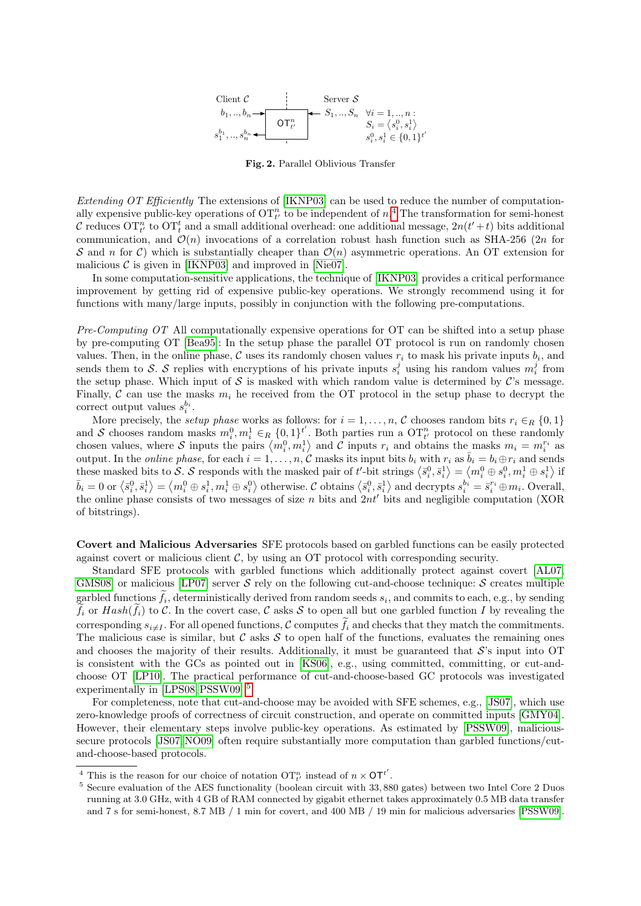

<span id="page-10-3"></span>Fig. 2. Parallel Oblivious Transfer

<span id="page-10-0"></span>Extending OT Efficiently The extensions of [\[IKNP03\]](#page-18-9) can be used to reduce the number of computationally expensive public-key operations of  $\mathrm{OT}_{t'}^n$  to be independent of  $n<sup>4</sup>$  $n<sup>4</sup>$  $n<sup>4</sup>$ . The transformation for semi-honest C reduces  $\overline{OT}^n_t$  to  $\overline{OT}^t_t$  and a small additional overhead: one additional message,  $2n(t'+t)$  bits additional communication, and  $\mathcal{O}(n)$  invocations of a correlation robust hash function such as SHA-256 (2n for S and n for C) which is substantially cheaper than  $\mathcal{O}(n)$  asymmetric operations. An OT extension for malicious  $\mathcal C$  is given in [\[IKNP03\]](#page-18-9) and improved in [\[Nie07\]](#page-19-15).

In some computation-sensitive applications, the technique of [\[IKNP03\]](#page-18-9) provides a critical performance improvement by getting rid of expensive public-key operations. We strongly recommend using it for functions with many/large inputs, possibly in conjunction with the following pre-computations.

<span id="page-10-1"></span> $Pre-Computino$  OT All computationally expensive operations for OT can be shifted into a setup phase by pre-computing OT [\[Bea95\]](#page-16-13): In the setup phase the parallel OT protocol is run on randomly chosen values. Then, in the online phase, C uses its randomly chosen values  $r_i$  to mask his private inputs  $b_i$ , and sends them to S. S replies with encryptions of his private inputs  $s_i^j$  using his random values  $m_i^j$  from the setup phase. Which input of  $S$  is masked with which random value is determined by  $C$ 's message. Finally,  $C$  can use the masks  $m_i$  he received from the OT protocol in the setup phase to decrypt the correct output values  $s_i^{b_i}$ .

More precisely, the setup phase works as follows: for  $i = 1, \ldots, n$ , C chooses random bits  $r_i \in_R \{0, 1\}$ and S chooses random masks  $m_i^0, m_i^1 \in_R \{0,1\}^{t'}$ . Both parties run a  $\overline{\text{OT}}_{t'}^n$  protocol on these randomly chosen values, where S inputs the pairs  $\langle m_i^0, m_i^1 \rangle$  and C inputs  $r_i$  and obtains the masks  $m_i = m_i^{r_i}$  as output. In the *online phase*, for each  $i = 1, \ldots, n, C$  masks its input bits  $b_i$  with  $r_i$  as  $\overline{b}_i = b_i \oplus r_i$  and sends these masked bits to S. S responds with the masked pair of t'-bit strings  $\langle \bar{s}_i^0, \bar{s}_i^1 \rangle = \langle m_i^0 \oplus s_i^0, m_i^1 \oplus s_i^1 \rangle$  if  $\overline{b}_i = 0$  or  $\left\langle \overline{s}_i^0, \overline{s}_i^1 \right\rangle = \left\langle m_i^0 \oplus s_i^1, m_i^1 \oplus s_i^0 \right\rangle$  otherwise. C obtains  $\left\langle \overline{s}_i^0, \overline{s}_i^1 \right\rangle$  and decrypts  $s_i^{b_i} = \overline{s}_i^{r_i} \oplus m_i$ . Overall, the online phase consists of two messages of size n bits and  $2nt'$  bits and negligible computation (XOR of bitstrings).

<span id="page-10-2"></span>Covert and Malicious Adversaries SFE protocols based on garbled functions can be easily protected against covert or malicious client  $\mathcal{C}$ , by using an OT protocol with corresponding security.

Standard SFE protocols with garbled functions which additionally protect against covert [\[AL07,](#page-16-14) [GMS08\]](#page-17-20) or malicious [\[LP07\]](#page-19-16) server  $S$  rely on the following cut-and-choose technique:  $S$  creates multiple garbled functions  $f_i$ , deterministically derived from random seeds  $s_i$ , and commits to each, e.g., by sending  $\tilde{f}_i$  or  $Hash(\tilde{f}_i)$  to C. In the covert case, C asks S to open all but one garbled function I by revealing the corresponding  $s_{i\neq I}$ . For all opened functions, C computes  $f_i$  and checks that they match the commitments. The malicious case is similar, but  $\mathcal C$  asks  $\mathcal S$  to open half of the functions, evaluates the remaining ones and chooses the majority of their results. Additionally, it must be guaranteed that  $\mathcal{S}'$ 's input into OT is consistent with the GCs as pointed out in [\[KS06\]](#page-18-10), e.g., using committed, committing, or cut-andchoose OT [\[LP10\]](#page-19-17). The practical performance of cut-and-choose-based GC protocols was investigated experimentally in [\[LPS08,](#page-19-18)[PSSW09\]](#page-19-19).[5](#page-10-5)

For completeness, note that cut-and-choose may be avoided with SFE schemes, e.g., [\[JS07\]](#page-18-11), which use zero-knowledge proofs of correctness of circuit construction, and operate on committed inputs [\[GMY04\]](#page-17-21). However, their elementary steps involve public-key operations. As estimated by [\[PSSW09\]](#page-19-19), malicioussecure protocols [\[JS07,](#page-18-11) [NO09\]](#page-19-20) often require substantially more computation than garbled functions/cutand-choose-based protocols.

<span id="page-10-4"></span><sup>&</sup>lt;sup>4</sup> This is the reason for our choice of notation  $\mathrm{OT}^n_{t'}$  instead of  $n \times \mathrm{OT}^{t'}$ .

<span id="page-10-5"></span><sup>&</sup>lt;sup>5</sup> Secure evaluation of the AES functionality (boolean circuit with 33,880 gates) between two Intel Core 2 Duos running at 3.0 GHz, with 4 GB of RAM connected by gigabit ethernet takes approximately 0.5 MB data transfer and 7 s for semi-honest, 8.7 MB / 1 min for covert, and 400 MB / 19 min for malicious adversaries [\[PSSW09\]](#page-19-19).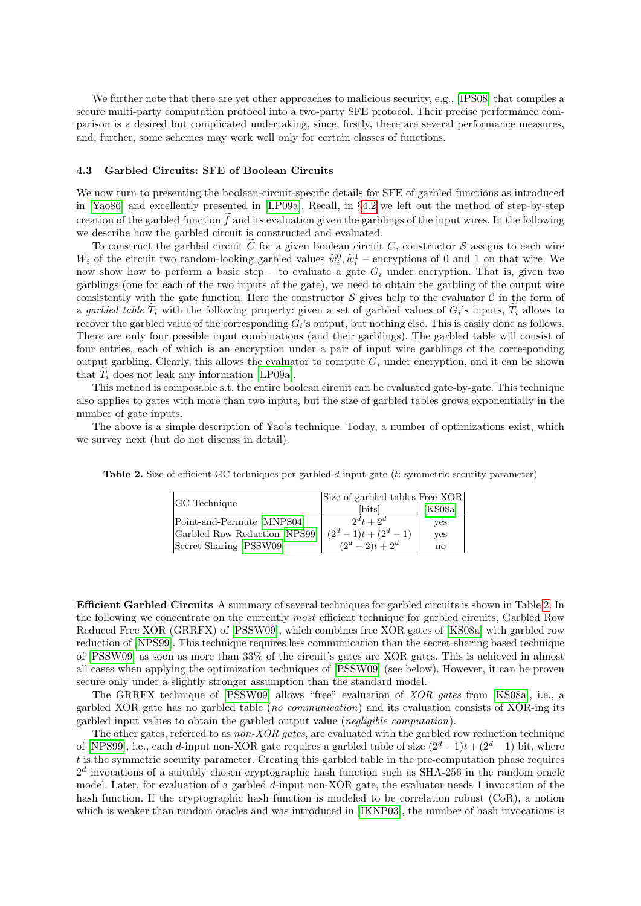We further note that there are yet other approaches to malicious security, e.g., [\[IPS08\]](#page-18-12) that compiles a secure multi-party computation protocol into a two-party SFE protocol. Their precise performance comparison is a desired but complicated undertaking, since, firstly, there are several performance measures, and, further, some schemes may work well only for certain classes of functions.

## <span id="page-11-0"></span>4.3 Garbled Circuits: SFE of Boolean Circuits

We now turn to presenting the boolean-circuit-specific details for SFE of garbled functions as introduced in [\[Yao86\]](#page-20-5) and excellently presented in [\[LP09a\]](#page-19-21). Recall, in §[4.2](#page-8-5) we left out the method of step-by-step creation of the garbled function  $\tilde{f}$  and its evaluation given the garblings of the input wires. In the following we describe how the garbled circuit is constructed and evaluated.

To construct the garbled circuit  $\tilde{C}$  for a given boolean circuit C, constructor S assigns to each wire  $W_i$  of the circuit two random-looking garbled values  $\tilde{w}_i^0$ ,  $\tilde{w}_i^1$  – encryptions of 0 and 1 on that wire. We now show how to perform a basic step – to evaluate a gate  $G_i$  under encryption. That is, given two garblings (one for each of the two inputs of the gate), we need to obtain the garbling of the output wire consistently with the gate function. Here the constructor  $\mathcal S$  gives help to the evaluator  $\mathcal C$  in the form of a garbled table  $T_i$  with the following property: given a set of garbled values of  $G_i$ 's inputs,  $T_i$  allows to recover the garbled value of the corresponding  $G_i$ 's output, but nothing else. This is easily done as follows. There are only four possible input combinations (and their garblings). The garbled table will consist of four entries, each of which is an encryption under a pair of input wire garblings of the corresponding output garbling. Clearly, this allows the evaluator to compute  $G_i$  under encryption, and it can be shown that  $T_i$  does not leak any information [\[LP09a\]](#page-19-21).

This method is composable s.t. the entire boolean circuit can be evaluated gate-by-gate. This technique also applies to gates with more than two inputs, but the size of garbled tables grows exponentially in the number of gate inputs.

The above is a simple description of Yao's technique. Today, a number of optimizations exist, which we survey next (but do not discuss in detail).

<span id="page-11-2"></span>

|                               | $\vert$ Size of garbled tables Free XOR |            |
|-------------------------------|-----------------------------------------|------------|
| <b>GC</b> Technique           | [bits]                                  | [KS08a]    |
| Point-and-Permute [MNPS04]    | $2^d t + 2^d$                           | yes        |
| Garbled Row Reduction [NPS99] | $(2^d-1)t+(2^d-1)$                      | <b>ves</b> |
| Secret-Sharing [PSSW09]       | $(2^d - 2)t + 2^d$                      | no         |

Table 2. Size of efficient GC techniques per garbled d-input gate (t: symmetric security parameter)

<span id="page-11-1"></span>Efficient Garbled Circuits A summary of several techniques for garbled circuits is shown in Table [2.](#page-11-2) In the following we concentrate on the currently most efficient technique for garbled circuits, Garbled Row Reduced Free XOR (GRRFX) of [\[PSSW09\]](#page-19-19), which combines free XOR gates of [\[KS08a\]](#page-18-13) with garbled row reduction of [\[NPS99\]](#page-19-2). This technique requires less communication than the secret-sharing based technique of [\[PSSW09\]](#page-19-19) as soon as more than 33% of the circuit's gates are XOR gates. This is achieved in almost all cases when applying the optimization techniques of [\[PSSW09\]](#page-19-19) (see below). However, it can be proven secure only under a slightly stronger assumption than the standard model.

The GRRFX technique of [\[PSSW09\]](#page-19-19) allows "free" evaluation of XOR gates from [\[KS08a\]](#page-18-13), i.e., a garbled XOR gate has no garbled table (no communication) and its evaluation consists of XOR-ing its garbled input values to obtain the garbled output value (negligible computation).

The other gates, referred to as non-XOR gates, are evaluated with the garbled row reduction technique of [\[NPS99\]](#page-19-2), i.e., each d-input non-XOR gate requires a garbled table of size  $(2^d - 1)t + (2^d - 1)$  bit, where  $t$  is the symmetric security parameter. Creating this garbled table in the pre-computation phase requires  $2<sup>d</sup>$  invocations of a suitably chosen cryptographic hash function such as SHA-256 in the random oracle model. Later, for evaluation of a garbled d-input non-XOR gate, the evaluator needs 1 invocation of the hash function. If the cryptographic hash function is modeled to be correlation robust (CoR), a notion which is weaker than random oracles and was introduced in [\[IKNP03\]](#page-18-9), the number of hash invocations is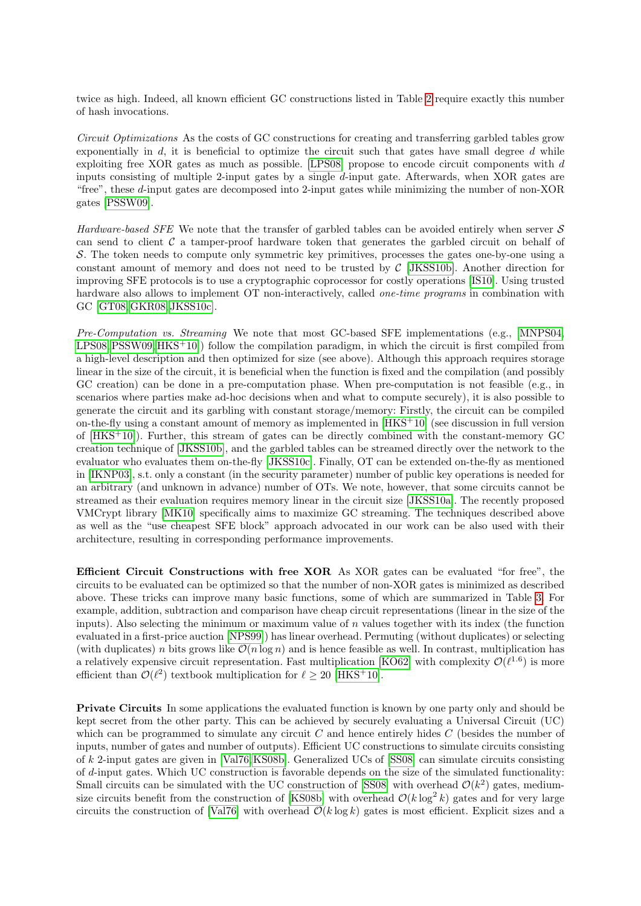twice as high. Indeed, all known efficient GC constructions listed in Table [2](#page-11-2) require exactly this number of hash invocations.

<span id="page-12-0"></span>Circuit Optimizations As the costs of GC constructions for creating and transferring garbled tables grow exponentially in  $d$ , it is beneficial to optimize the circuit such that gates have small degree  $d$  while exploiting free XOR gates as much as possible. [\[LPS08\]](#page-19-18) propose to encode circuit components with d inputs consisting of multiple 2-input gates by a single d-input gate. Afterwards, when XOR gates are "free", these d-input gates are decomposed into 2-input gates while minimizing the number of non-XOR gates [\[PSSW09\]](#page-19-19).

<span id="page-12-1"></span>Hardware-based SFE We note that the transfer of garbled tables can be avoided entirely when server  $S$ can send to client  $\mathcal C$  a tamper-proof hardware token that generates the garbled circuit on behalf of S. The token needs to compute only symmetric key primitives, processes the gates one-by-one using a constant amount of memory and does not need to be trusted by  $\mathcal{C}$  [\[JKSS10b\]](#page-18-14). Another direction for improving SFE protocols is to use a cryptographic coprocessor for costly operations [\[IS10\]](#page-18-15). Using trusted hardware also allows to implement OT non-interactively, called *one-time programs* in combination with GC [\[GT08,](#page-18-16)[GKR08,](#page-17-7) [JKSS10c\]](#page-18-17).

<span id="page-12-2"></span>Pre-Computation vs. Streaming We note that most GC-based SFE implementations (e.g., [\[MNPS04,](#page-19-8)  $LPS08, PSSW09, HKS+10$  $LPS08, PSSW09, HKS+10$  $LPS08, PSSW09, HKS+10$  $LPS08, PSSW09, HKS+10$ ) follow the compilation paradigm, in which the circuit is first compiled from a high-level description and then optimized for size (see above). Although this approach requires storage linear in the size of the circuit, it is beneficial when the function is fixed and the compilation (and possibly GC creation) can be done in a pre-computation phase. When pre-computation is not feasible (e.g., in scenarios where parties make ad-hoc decisions when and what to compute securely), it is also possible to generate the circuit and its garbling with constant storage/memory: Firstly, the circuit can be compiled on-the-fly using a constant amount of memory as implemented in  $[HKS+10]$  $[HKS+10]$  (see discussion in full version of [\[HKS](#page-18-2)<sup>+</sup>10]). Further, this stream of gates can be directly combined with the constant-memory GC creation technique of [\[JKSS10b\]](#page-18-14), and the garbled tables can be streamed directly over the network to the evaluator who evaluates them on-the-fly [\[JKSS10c\]](#page-18-17). Finally, OT can be extended on-the-fly as mentioned in [\[IKNP03\]](#page-18-9), s.t. only a constant (in the security parameter) number of public key operations is needed for an arbitrary (and unknown in advance) number of OTs. We note, however, that some circuits cannot be streamed as their evaluation requires memory linear in the circuit size [\[JKSS10a\]](#page-18-18). The recently proposed VMCrypt library [\[MK10\]](#page-19-22) specifically aims to maximize GC streaming. The techniques described above as well as the "use cheapest SFE block" approach advocated in our work can be also used with their architecture, resulting in corresponding performance improvements.

<span id="page-12-3"></span>Efficient Circuit Constructions with free XOR As XOR gates can be evaluated "for free", the circuits to be evaluated can be optimized so that the number of non-XOR gates is minimized as described above. These tricks can improve many basic functions, some of which are summarized in Table [3.](#page-13-3) For example, addition, subtraction and comparison have cheap circuit representations (linear in the size of the inputs). Also selecting the minimum or maximum value of  $n$  values together with its index (the function evaluated in a first-price auction [\[NPS99\]](#page-19-2)) has linear overhead. Permuting (without duplicates) or selecting (with duplicates) n bits grows like  $\mathcal{O}(n \log n)$  and is hence feasible as well. In contrast, multiplication has a relatively expensive circuit representation. Fast multiplication [\[KO62\]](#page-18-19) with complexity  $\mathcal{O}(\ell^{1.6})$  is more efficient than  $\mathcal{O}(\ell^2)$  textbook multiplication for  $\ell \geq 20$  [\[HKS](#page-18-2)<sup>+</sup>10].

<span id="page-12-4"></span>Private Circuits In some applications the evaluated function is known by one party only and should be kept secret from the other party. This can be achieved by securely evaluating a Universal Circuit (UC) which can be programmed to simulate any circuit  $C$  and hence entirely hides  $C$  (besides the number of inputs, number of gates and number of outputs). Efficient UC constructions to simulate circuits consisting of k 2-input gates are given in [\[Val76,](#page-20-7)[KS08b\]](#page-18-20). Generalized UCs of [\[SS08\]](#page-19-23) can simulate circuits consisting of d-input gates. Which UC construction is favorable depends on the size of the simulated functionality: Small circuits can be simulated with the UC construction of [\[SS08\]](#page-19-23) with overhead  $\mathcal{O}(k^2)$  gates, medium-size circuits benefit from the construction of [\[KS08b\]](#page-18-20) with overhead  $\mathcal{O}(k \log^2 k)$  gates and for very large circuits the construction of [\[Val76\]](#page-20-7) with overhead  $\mathcal{O}(k \log k)$  gates is most efficient. Explicit sizes and a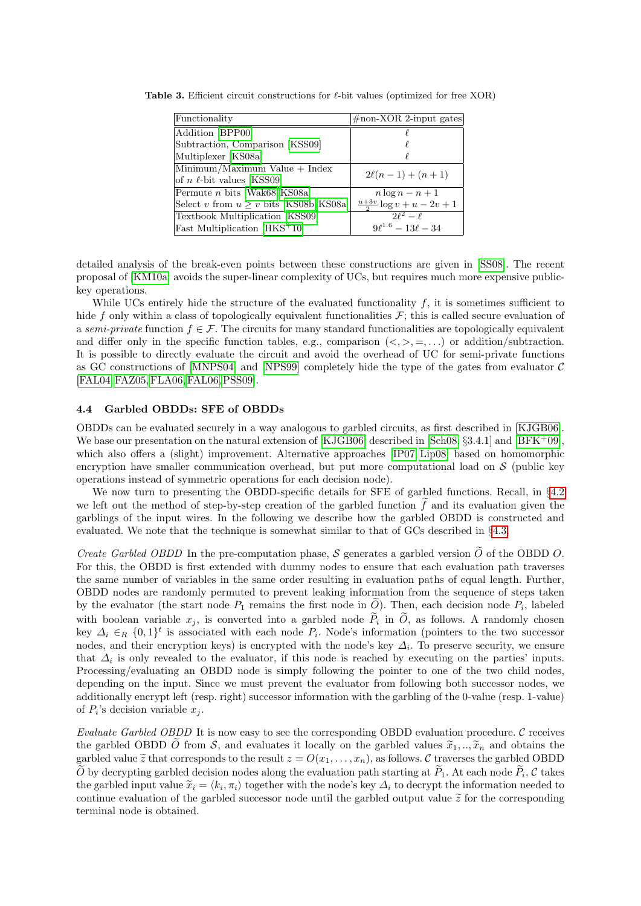<span id="page-13-3"></span>

| Functionality                                | $\#$ non-XOR 2-input gates           |
|----------------------------------------------|--------------------------------------|
| Addition [BPP00]                             |                                      |
| Subtraction, Comparison [KSS09]              |                                      |
| Multiplexer [KS08a]                          |                                      |
| Minimum/Maximum Value + Index                | $2\ell(n-1) + (n+1)$                 |
| of <i>n</i> $\ell$ -bit values [KSS09]       |                                      |
| Permute <i>n</i> bits [Wak68, KS08a]         | $n \log n - n + 1$                   |
| Select v from $u \geq v$ bits [KS08b, KS08a] | $\frac{u+3v}{2} \log v + u - 2v + 1$ |
| Textbook Multiplication [KSS09]              | $\sqrt{2\ell^2} - \ell$              |
| Fast Multiplication $[HKS^+10]$              | $9\ell^{1.6} - 13\ell - 34$          |

Table 3. Efficient circuit constructions for  $\ell$ -bit values (optimized for free XOR)

detailed analysis of the break-even points between these constructions are given in [\[SS08\]](#page-19-23). The recent proposal of [\[KM10a\]](#page-18-21) avoids the super-linear complexity of UCs, but requires much more expensive publickey operations.

While UCs entirely hide the structure of the evaluated functionality  $f$ , it is sometimes sufficient to hide f only within a class of topologically equivalent functionalities  $\mathcal{F}$ ; this is called secure evaluation of a semi-private function  $f \in \mathcal{F}$ . The circuits for many standard functionalities are topologically equivalent and differ only in the specific function tables, e.g., comparison  $(<, >, =, \ldots$ ) or addition/subtraction. It is possible to directly evaluate the circuit and avoid the overhead of UC for semi-private functions as GC constructions of [\[MNPS04\]](#page-19-8) and [\[NPS99\]](#page-19-2) completely hide the type of the gates from evaluator  $\mathcal C$ [\[FAL04,](#page-17-10)[FAZ05,](#page-17-8)[FLA06,](#page-17-12)[FAL06,](#page-17-11)[PSS09\]](#page-19-24).

#### <span id="page-13-0"></span>4.4 Garbled OBDDs: SFE of OBDDs

OBDDs can be evaluated securely in a way analogous to garbled circuits, as first described in [\[KJGB06\]](#page-18-22). We base our presentation on the natural extension of [\[KJGB06\]](#page-18-22) described in [\[Sch08,](#page-19-25) §3.4.1] and [\[BFK](#page-16-4)+09], which also offers a (slight) improvement. Alternative approaches [\[IP07,](#page-18-23) [Lip08\]](#page-19-26) based on homomorphic encryption have smaller communication overhead, but put more computational load on  $\mathcal S$  (public key operations instead of symmetric operations for each decision node).

We now turn to presenting the OBDD-specific details for SFE of garbled functions. Recall, in §[4.2](#page-8-5) we left out the method of step-by-step creation of the garbled function  $\hat{f}$  and its evaluation given the garblings of the input wires. In the following we describe how the garbled OBDD is constructed and evaluated. We note that the technique is somewhat similar to that of GCs described in §[4.3.](#page-11-0)

<span id="page-13-1"></span>*Create Garbled OBDD* In the pre-computation phase, S generates a garbled version  $\tilde{O}$  of the OBDD O. For this, the OBDD is first extended with dummy nodes to ensure that each evaluation path traverses the same number of variables in the same order resulting in evaluation paths of equal length. Further, OBDD nodes are randomly permuted to prevent leaking information from the sequence of steps taken by the evaluator (the start node  $P_1$  remains the first node in  $Q$ ). Then, each decision node  $P_i$ , labeled with boolean variable  $x_j$ , is converted into a garbled node  $P_i$  in O, as follows. A randomly chosen key  $\Delta_i \in_R \{0,1\}^t$  is associated with each node  $P_i$ . Node's information (pointers to the two successor nodes, and their encryption keys) is encrypted with the node's key  $\Delta_i$ . To preserve security, we ensure that  $\Delta_i$  is only revealed to the evaluator, if this node is reached by executing on the parties' inputs. Processing/evaluating an OBDD node is simply following the pointer to one of the two child nodes, depending on the input. Since we must prevent the evaluator from following both successor nodes, we additionally encrypt left (resp. right) successor information with the garbling of the 0-value (resp. 1-value) of  $P_i$ 's decision variable  $x_j$ .

<span id="page-13-2"></span>Evaluate Garbled OBDD It is now easy to see the corresponding OBDD evaluation procedure.  $\mathcal C$  receives the garbled OBDD O from S, and evaluates it locally on the garbled values  $\tilde{x}_1, \ldots, \tilde{x}_n$  and obtains the garbled value  $\tilde{z}$  that corresponds to the result  $z = O(x_1, \ldots, x_n)$ , as follows. C traverses the garbled OBDD O by decrypting garbled decision nodes along the evaluation path starting at  $P_1$ . At each node  $P_i$ , C takes the garbled input value  $\widetilde{x}_i = \langle k_i, \pi_i \rangle$  together with the node's key  $\Delta_i$  to decrypt the information needed to entimes are last the number of the number of the number of the number of the number of the number of the continue evaluation of the garbled successor node until the garbled output value  $\tilde{z}$  for the corresponding terminal node is obtained.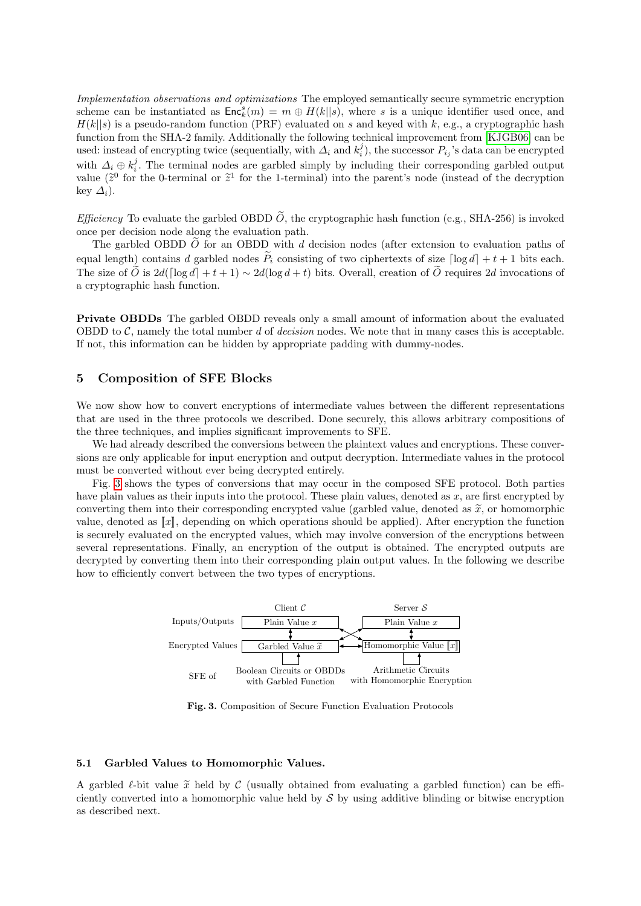<span id="page-14-0"></span>Implementation observations and optimizations The employed semantically secure symmetric encryption scheme can be instantiated as  $\mathsf{Enc}_k^s(m) = m \oplus H(k||s)$ , where s is a unique identifier used once, and  $H(k||s)$  is a pseudo-random function (PRF) evaluated on s and keyed with k, e.g., a cryptographic hash function from the SHA-2 family. Additionally the following technical improvement from [\[KJGB06\]](#page-18-22) can be used: instead of encrypting twice (sequentially, with  $\Delta_i$  and  $k_i^j$ ), the successor  $P_{i_j}$ 's data can be encrypted with  $\Delta_i \oplus k_i^j$ . The terminal nodes are garbled simply by including their corresponding garbled output value ( $\tilde{z}^0$  for the 0-terminal or  $\tilde{z}^1$  for the 1-terminal) into the parent's node (instead of the decryption key  $\Delta_i$ ).

<span id="page-14-1"></span>*Efficiency* To evaluate the garbled OBDD  $\tilde{O}$ , the cryptographic hash function (e.g., SHA-256) is invoked once per decision node along the evaluation path.

The garbled OBDD  $\widetilde{O}$  for an OBDD with d decision nodes (after extension to evaluation paths of equal length) contains d garbled nodes  $\tilde{P}_i$  consisting of two ciphertexts of size  $\lceil \log d \rceil + t + 1$  bits each. The size of  $\tilde{O}$  is 2d( $\lceil \log d \rceil + t + 1$ ) ∼ 2d( $\log d + t$ ) bits. Overall, creation of  $\tilde{O}$  requires 2d invocations of a cryptographic hash function.

<span id="page-14-2"></span>Private OBDDs The garbled OBDD reveals only a small amount of information about the evaluated OBDD to  $\mathcal{C}$ , namely the total number d of decision nodes. We note that in many cases this is acceptable. If not, this information can be hidden by appropriate padding with dummy-nodes.

## <span id="page-14-3"></span>5 Composition of SFE Blocks

We now show how to convert encryptions of intermediate values between the different representations that are used in the three protocols we described. Done securely, this allows arbitrary compositions of the three techniques, and implies significant improvements to SFE.

We had already described the conversions between the plaintext values and encryptions. These conversions are only applicable for input encryption and output decryption. Intermediate values in the protocol must be converted without ever being decrypted entirely.

Fig. [3](#page-14-5) shows the types of conversions that may occur in the composed SFE protocol. Both parties have plain values as their inputs into the protocol. These plain values, denoted as  $x$ , are first encrypted by converting them into their corresponding encrypted value (garbled value, denoted as  $\tilde{x}$ , or homomorphic value, denoted as  $\llbracket x \rrbracket$ , depending on which operations should be applied). After encryption the function is securely evaluated on the encrypted values, which may involve conversion of the encryptions between several representations. Finally, an encryption of the output is obtained. The encrypted outputs are decrypted by converting them into their corresponding plain output values. In the following we describe how to efficiently convert between the two types of encryptions.



<span id="page-14-5"></span>Fig. 3. Composition of Secure Function Evaluation Protocols

### <span id="page-14-4"></span>5.1 Garbled Values to Homomorphic Values.

A garbled  $\ell$ -bit value  $\tilde{x}$  held by C (usually obtained from evaluating a garbled function) can be efficiently converted into a homomorphic value held by  $\mathcal S$  by using additive blinding or bitwise encryption as described next.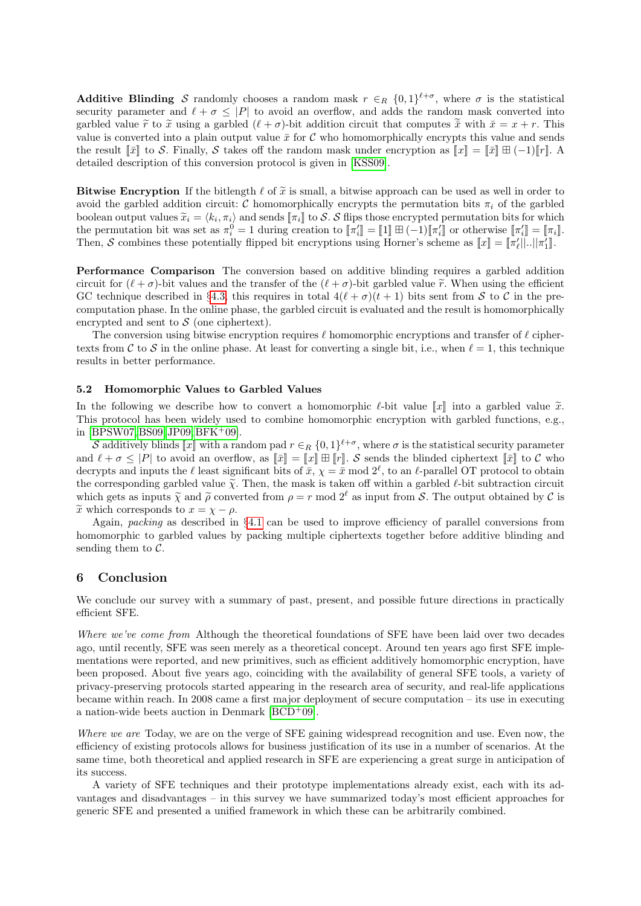<span id="page-15-0"></span>**Additive Blinding** S randomly chooses a random mask  $r \in_R \{0,1\}^{\ell+\sigma}$ , where  $\sigma$  is the statistical security parameter and  $\ell + \sigma \leq |P|$  to avoid an overflow, and adds the random mask converted into garbled value  $\tilde{r}$  to  $\tilde{x}$  using a garbled  $(\ell + \sigma)$ -bit addition circuit that computes  $\tilde{\bar{x}}$  with  $\bar{x} = x + r$ . This value is converted into a plain output value  $\bar{x}$  for C who homomorphically encrypts this value and sends the result  $\llbracket \bar{x} \rrbracket$  to S. Finally, S takes off the random mask under encryption as  $\llbracket x \rrbracket = \llbracket \bar{x} \rrbracket \boxplus (-1) \llbracket r \rrbracket$ . detailed description of this conversion protocol is given in [\[KSS09\]](#page-18-0).

<span id="page-15-1"></span>Bitwise Encryption If the bitlength  $\ell$  of  $\tilde{x}$  is small, a bitwise approach can be used as well in order to avoid the garbled addition circuit: C homomorphically encrypts the permutation bits  $\pi_i$  of the garbled boolean output values  $\widetilde{x}_i = \langle k_i, \pi_i \rangle$  and sends  $[\![\pi_i]\!]$  to S. S flips those encrypted permutation bits for which the permutation bit was set as  $\pi_i^0 = 1$  during creation to  $\llbracket \pi_i' \rrbracket = \llbracket 1 \rrbracket \boxplus (-1) \llbracket \pi_i' \rrbracket$  or otherwise  $\llbracket \pi_i' \rrbracket = \llbracket \pi_i \rrbracket$ . Then, S combines these potentially flipped bit encryptions using Horner's scheme as  $[[x]] = [[\pi'_\ell] |... ||\pi'_1]$ .

<span id="page-15-2"></span>Performance Comparison The conversion based on additive blinding requires a garbled addition circuit for  $(\ell + \sigma)$ -bit values and the transfer of the  $(\ell + \sigma)$ -bit garbled value  $\tilde{r}$ . When using the efficient GC technique described in §[4.3,](#page-11-1) this requires in total  $4(\ell + \sigma)(t + 1)$  bits sent from S to C in the precomputation phase. In the online phase, the garbled circuit is evaluated and the result is homomorphically encrypted and sent to  $S$  (one ciphertext).

The conversion using bitwise encryption requires  $\ell$  homomorphic encryptions and transfer of  $\ell$  ciphertexts from C to S in the online phase. At least for converting a single bit, i.e., when  $\ell = 1$ , this technique results in better performance.

#### <span id="page-15-3"></span>5.2 Homomorphic Values to Garbled Values

In the following we describe how to convert a homomorphic  $\ell$ -bit value  $\llbracket x \rrbracket$  into a garbled value  $\tilde{x}$ . This protocol has been widely used to combine homomorphic encryption with garbled functions, e.g., in [\[BPSW07,](#page-16-2) [BS09,](#page-16-3) [JP09,](#page-18-24) [BFK](#page-16-4) $+09$ ].

S additively blinds  $\llbracket x \rrbracket$  with a random pad  $r \in_R \{0,1\}^{\ell+\sigma}$ , where  $\sigma$  is the statistical security parameter and  $\ell + \sigma \leq |P|$  to avoid an overflow, as  $\llbracket \bar{x} \rrbracket = \llbracket x \rrbracket \pm \llbracket r \rrbracket$ . S sends the blinded ciphertext  $\llbracket \bar{x} \rrbracket$  to C who decrypts and inputs the  $\ell$  least significant bits of  $\bar{x}$ ,  $\chi = \bar{x} \mod 2^{\ell}$ , to an  $\ell$ -parallel OT protocol to obtain the corresponding garbled value  $\tilde{\chi}$ . Then, the mask is taken off within a garbled  $\ell$ -bit subtraction circuit which gets as inputs  $\tilde{\chi}$  and  $\tilde{\rho}$  converted from  $\rho = r \mod 2^\ell$  as input from S. The output obtained by C is  $\widetilde{x}$  which corresponds to  $x = \chi - \rho$ .

Again, packing as described in  $\S 4.1$  $\S 4.1$  can be used to improve efficiency of parallel conversions from homomorphic to garbled values by packing multiple ciphertexts together before additive blinding and sending them to  $\mathcal{C}$ .

#### <span id="page-15-4"></span>6 Conclusion

We conclude our survey with a summary of past, present, and possible future directions in practically efficient SFE.

<span id="page-15-5"></span>Where we've come from Although the theoretical foundations of SFE have been laid over two decades ago, until recently, SFE was seen merely as a theoretical concept. Around ten years ago first SFE implementations were reported, and new primitives, such as efficient additively homomorphic encryption, have been proposed. About five years ago, coinciding with the availability of general SFE tools, a variety of privacy-preserving protocols started appearing in the research area of security, and real-life applications became within reach. In 2008 came a first major deployment of secure computation – its use in executing a nation-wide beets auction in Denmark [\[BCD](#page-16-8)<sup>+</sup>09].

<span id="page-15-6"></span>Where we are Today, we are on the verge of SFE gaining widespread recognition and use. Even now, the efficiency of existing protocols allows for business justification of its use in a number of scenarios. At the same time, both theoretical and applied research in SFE are experiencing a great surge in anticipation of its success.

A variety of SFE techniques and their prototype implementations already exist, each with its advantages and disadvantages – in this survey we have summarized today's most efficient approaches for generic SFE and presented a unified framework in which these can be arbitrarily combined.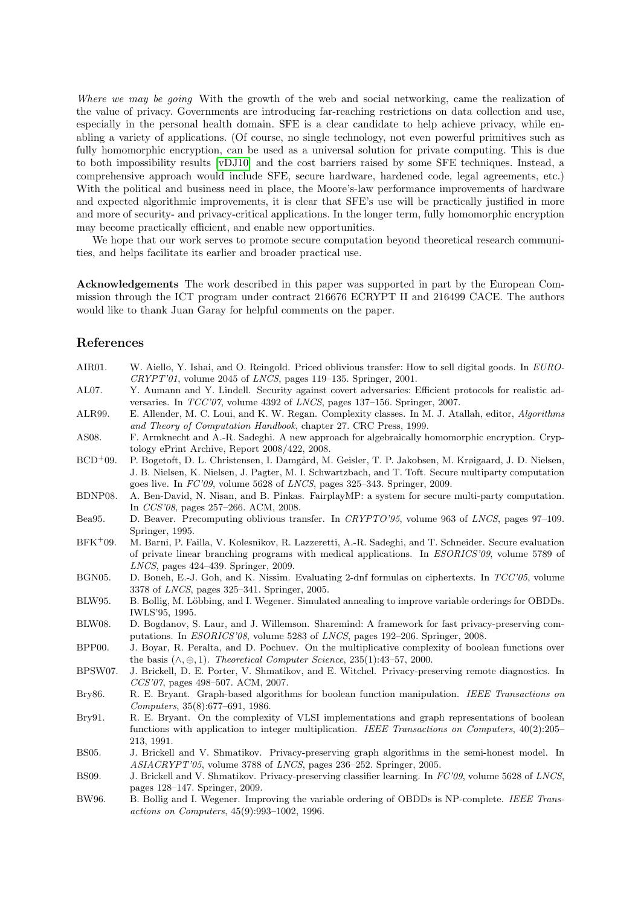<span id="page-16-0"></span>Where we may be going With the growth of the web and social networking, came the realization of the value of privacy. Governments are introducing far-reaching restrictions on data collection and use, especially in the personal health domain. SFE is a clear candidate to help achieve privacy, while enabling a variety of applications. (Of course, no single technology, not even powerful primitives such as fully homomorphic encryption, can be used as a universal solution for private computing. This is due to both impossibility results [\[vDJ10\]](#page-20-9) and the cost barriers raised by some SFE techniques. Instead, a comprehensive approach would include SFE, secure hardware, hardened code, legal agreements, etc.) With the political and business need in place, the Moore's-law performance improvements of hardware and expected algorithmic improvements, it is clear that SFE's use will be practically justified in more and more of security- and privacy-critical applications. In the longer term, fully homomorphic encryption may become practically efficient, and enable new opportunities.

We hope that our work serves to promote secure computation beyond theoretical research communities, and helps facilitate its earlier and broader practical use.

<span id="page-16-1"></span>Acknowledgements The work described in this paper was supported in part by the European Commission through the ICT program under contract 216676 ECRYPT II and 216499 CACE. The authors would like to thank Juan Garay for helpful comments on the paper.

## References

<span id="page-16-19"></span><span id="page-16-18"></span><span id="page-16-17"></span><span id="page-16-16"></span><span id="page-16-15"></span><span id="page-16-14"></span><span id="page-16-13"></span><span id="page-16-12"></span><span id="page-16-11"></span><span id="page-16-10"></span><span id="page-16-9"></span><span id="page-16-8"></span><span id="page-16-7"></span><span id="page-16-6"></span><span id="page-16-5"></span><span id="page-16-4"></span><span id="page-16-3"></span><span id="page-16-2"></span>

| AIR01.       | W. Aiello, Y. Ishai, and O. Reingold. Priced oblivious transfer: How to sell digital goods. In EURO-<br>$CRYPT'01$ , volume 2045 of LNCS, pages 119-135. Springer, 2001.                                                                                                                            |
|--------------|-----------------------------------------------------------------------------------------------------------------------------------------------------------------------------------------------------------------------------------------------------------------------------------------------------|
| AL07.        | Y. Aumann and Y. Lindell. Security against covert adversaries: Efficient protocols for realistic ad-<br>versaries. In $TCC'07$ , volume 4392 of <i>LNCS</i> , pages 137-156. Springer, 2007.                                                                                                        |
| ALR99.       | E. Allender, M. C. Loui, and K. W. Regan. Complexity classes. In M. J. Atallah, editor, Algorithms<br>and Theory of Computation Handbook, chapter 27. CRC Press, 1999.                                                                                                                              |
| AS08.        | F. Armknecht and A.-R. Sadeghi. A new approach for algebraically homomorphic encryption. Cryp-<br>tology ePrint Archive, Report 2008/422, 2008.                                                                                                                                                     |
| $BCD+09.$    | P. Bogetoft, D. L. Christensen, I. Damgård, M. Geisler, T. P. Jakobsen, M. Krøigaard, J. D. Nielsen,<br>J. B. Nielsen, K. Nielsen, J. Pagter, M. I. Schwartzbach, and T. Toft. Secure multiparty computation<br>goes live. In $FC'09$ , volume 5628 of <i>LNCS</i> , pages 325–343. Springer, 2009. |
| BDNP08.      | A. Ben-David, N. Nisan, and B. Pinkas. FairplayMP: a system for secure multi-party computation.<br>In CCS'08, pages 257-266. ACM, 2008.                                                                                                                                                             |
| Bea95.       | D. Beaver. Precomputing oblivious transfer. In CRYPTO'95, volume 963 of LNCS, pages 97-109.<br>Springer, 1995.                                                                                                                                                                                      |
| $BFK^{+}09.$ | M. Barni, P. Failla, V. Kolesnikov, R. Lazzeretti, A.-R. Sadeghi, and T. Schneider. Secure evaluation<br>of private linear branching programs with medical applications. In <i>ESORICS'09</i> , volume 5789 of<br>$LNCS$ , pages 424-439. Springer, 2009.                                           |
| BGN05.       | D. Boneh, E.-J. Goh, and K. Nissim. Evaluating 2-dnf formulas on ciphertexts. In TCC'05, volume<br>3378 of <i>LNCS</i> , pages 325–341. Springer, 2005.                                                                                                                                             |
| BLW95.       | B. Bollig, M. Löbbing, and I. Wegener. Simulated annealing to improve variable orderings for OBDDs.<br>IWLS'95, 1995.                                                                                                                                                                               |
| BLW08.       | D. Bogdanov, S. Laur, and J. Willemson. Sharemind: A framework for fast privacy-preserving com-<br>putations. In <i>ESORICS'08</i> , volume 5283 of <i>LNCS</i> , pages 192–206. Springer, 2008.                                                                                                    |
| BPP00.       | J. Boyar, R. Peralta, and D. Pochuev. On the multiplicative complexity of boolean functions over<br>the basis $(\wedge, \oplus, 1)$ . Theoretical Computer Science, 235(1):43-57, 2000.                                                                                                             |
| BPSW07.      | J. Brickell, D. E. Porter, V. Shmatikov, and E. Witchel. Privacy-preserving remote diagnostics. In<br>$CCS'07$ , pages 498-507. ACM, 2007.                                                                                                                                                          |
| Bry86.       | R. E. Bryant. Graph-based algorithms for boolean function manipulation. IEEE Transactions on<br>Computers, 35(8):677-691, 1986.                                                                                                                                                                     |
| Bry91.       | R. E. Bryant. On the complexity of VLSI implementations and graph representations of boolean<br>functions with application to integer multiplication. IEEE Transactions on Computers, $40(2):205-$<br>213, 1991.                                                                                    |
| <b>BS05.</b> | J. Brickell and V. Shmatikov. Privacy-preserving graph algorithms in the semi-honest model. In<br>ASIACRYPT'05, volume 3788 of LNCS, pages 236-252. Springer, 2005.                                                                                                                                 |
| <b>BS09.</b> | J. Brickell and V. Shmatikov. Privacy-preserving classifier learning. In FC'09, volume 5628 of LNCS,<br>pages 128-147. Springer, 2009.                                                                                                                                                              |
| BW96.        | B. Bollig and I. Wegener. Improving the variable ordering of OBDDs is NP-complete. IEEE Trans-<br>actions on Computers, $45(9):993-1002$ , 1996.                                                                                                                                                    |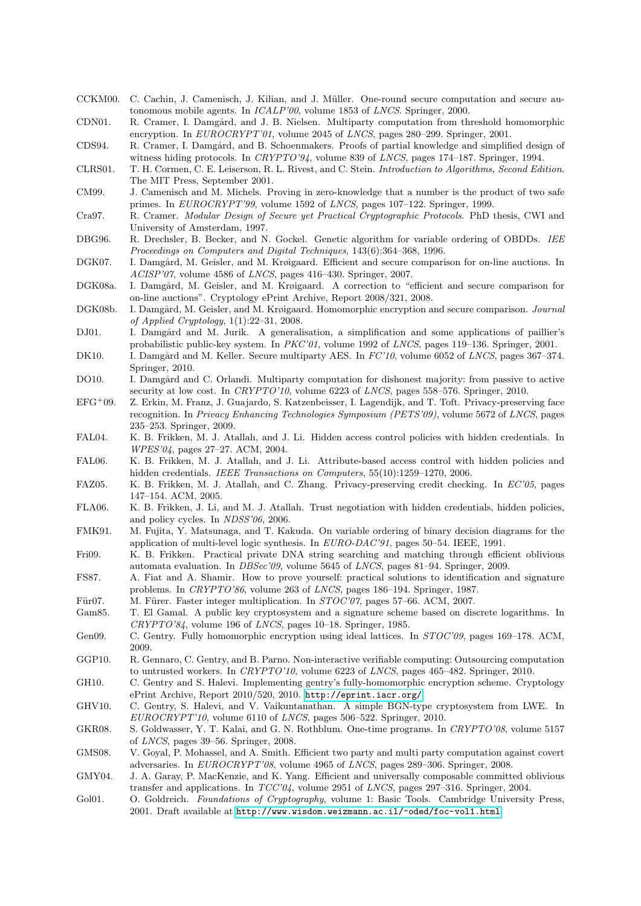- <span id="page-17-13"></span>CCKM00. C. Cachin, J. Camenisch, J. Kilian, and J. Müller. One-round secure computation and secure autonomous mobile agents. In ICALP'00, volume 1853 of LNCS. Springer, 2000.
- <span id="page-17-14"></span>CDN01. R. Cramer, I. Damgård, and J. B. Nielsen. Multiparty computation from threshold homomorphic encryption. In EUROCRYPT'01, volume 2045 of LNCS, pages 280-299. Springer, 2001.
- <span id="page-17-27"></span>CDS94. R. Cramer, I. Damgård, and B. Schoenmakers. Proofs of partial knowledge and simplified design of witness hiding protocols. In CRYPTO'94, volume 839 of LNCS, pages 174–187. Springer, 1994.
- <span id="page-17-22"></span>CLRS01. T. H. Cormen, C. E. Leiserson, R. L. Rivest, and C. Stein. Introduction to Algorithms, Second Edition. The MIT Press, September 2001.
- <span id="page-17-30"></span>CM99. J. Camenisch and M. Michels. Proving in zero-knowledge that a number is the product of two safe primes. In EUROCRYPT'99, volume 1592 of LNCS, pages 107-122. Springer, 1999.
- <span id="page-17-28"></span>Cra97. R. Cramer. Modular Design of Secure yet Practical Cryptographic Protocols. PhD thesis, CWI and University of Amsterdam, 1997.
- <span id="page-17-24"></span>DBG96. R. Drechsler, B. Becker, and N. Gockel. Genetic algorithm for variable ordering of OBDDs. IEE Proceedings on Computers and Digital Techniques, 143(6):364–368, 1996.
- <span id="page-17-2"></span>DGK07. I. Damgård, M. Geisler, and M. Krøigaard. Efficient and secure comparison for on-line auctions. In ACISP'07, volume 4586 of LNCS, pages 416–430. Springer, 2007.
- <span id="page-17-4"></span>DGK08a. I. Damgård, M. Geisler, and M. Krøigaard. A correction to "efficient and secure comparison for on-line auctions". Cryptology ePrint Archive, Report 2008/321, 2008.
- <span id="page-17-3"></span>DGK08b. I. Damgård, M. Geisler, and M. Krøigaard. Homomorphic encryption and secure comparison. Journal of Applied Cryptology, 1(1):22–31, 2008.
- <span id="page-17-0"></span>DJ01. I. Damgård and M. Jurik. A generalisation, a simplification and some applications of paillier's probabilistic public-key system. In PKC'01, volume 1992 of LNCS, pages 119–136. Springer, 2001.
- <span id="page-17-16"></span>DK10. I. Damgård and M. Keller. Secure multiparty AES. In  $FC'10$ , volume 6052 of LNCS, pages 367–374. Springer, 2010.
- <span id="page-17-15"></span>DO10. I. Damgård and C. Orlandi. Multiparty computation for dishonest majority: from passive to active security at low cost. In *CRYPTO'10*, volume 6223 of *LNCS*, pages 558–576. Springer, 2010.
- <span id="page-17-9"></span>EFG<sup>+</sup>09. Z. Erkin, M. Franz, J. Guajardo, S. Katzenbeisser, I. Lagendijk, and T. Toft. Privacy-preserving face recognition. In Privacy Enhancing Technologies Symposium (PETS'09), volume 5672 of LNCS, pages 235–253. Springer, 2009.
- <span id="page-17-10"></span>FAL04. K. B. Frikken, M. J. Atallah, and J. Li. Hidden access control policies with hidden credentials. In WPES'04, pages 27–27. ACM, 2004.
- <span id="page-17-11"></span>FAL06. K. B. Frikken, M. J. Atallah, and J. Li. Attribute-based access control with hidden policies and hidden credentials. IEEE Transactions on Computers, 55(10):1259–1270, 2006.
- <span id="page-17-8"></span>FAZ05. K. B. Frikken, M. J. Atallah, and C. Zhang. Privacy-preserving credit checking. In EC'05, pages 147–154. ACM, 2005.
- <span id="page-17-12"></span>FLA06. K. B. Frikken, J. Li, and M. J. Atallah. Trust negotiation with hidden credentials, hidden policies, and policy cycles. In NDSS'06, 2006.
- <span id="page-17-23"></span>FMK91. M. Fujita, Y. Matsunaga, and T. Kakuda. On variable ordering of binary decision diagrams for the application of multi-level logic synthesis. In EURO-DAC'91, pages 50–54. IEEE, 1991.
- <span id="page-17-5"></span>Fri09. K. B. Frikken. Practical private DNA string searching and matching through efficient oblivious automata evaluation. In DBSec'09, volume 5645 of LNCS, pages 81–94. Springer, 2009.
- <span id="page-17-29"></span>FS87. A. Fiat and A. Shamir. How to prove yourself: practical solutions to identification and signature problems. In CRYPTO'86, volume 263 of LNCS, pages 186–194. Springer, 1987.
- <span id="page-17-25"></span>Für07. M. Fürer. Faster integer multiplication. In STOC'07, pages 57–66. ACM, 2007.
- <span id="page-17-17"></span>Gam85. T. El Gamal. A public key cryptosystem and a signature scheme based on discrete logarithms. In CRYPTO'84, volume 196 of LNCS, pages 10–18. Springer, 1985.
- <span id="page-17-1"></span>Gen09. C. Gentry. Fully homomorphic encryption using ideal lattices. In  $STOC'09$ , pages 169–178. ACM, 2009.
- <span id="page-17-6"></span>GGP10. R. Gennaro, C. Gentry, and B. Parno. Non-interactive verifiable computing: Outsourcing computation to untrusted workers. In CRYPTO'10, volume 6223 of LNCS, pages 465–482. Springer, 2010.
- <span id="page-17-19"></span>GH10. C. Gentry and S. Halevi. Implementing gentry's fully-homomorphic encryption scheme. Cryptology ePrint Archive, Report 2010/520, 2010. <http://eprint.iacr.org/>.
- <span id="page-17-18"></span>GHV10. C. Gentry, S. Halevi, and V. Vaikuntanathan. A simple BGN-type cryptosystem from LWE. In EUROCRYPT'10, volume 6110 of LNCS, pages 506–522. Springer, 2010.
- <span id="page-17-7"></span>GKR08. S. Goldwasser, Y. T. Kalai, and G. N. Rothblum. One-time programs. In CRYPTO'08, volume 5157 of LNCS, pages 39–56. Springer, 2008.
- <span id="page-17-20"></span>GMS08. V. Goyal, P. Mohassel, and A. Smith. Efficient two party and multi party computation against covert adversaries. In EUROCRYPT'08, volume 4965 of LNCS, pages 289–306. Springer, 2008.
- <span id="page-17-21"></span>GMY04. J. A. Garay, P. MacKenzie, and K. Yang. Efficient and universally composable committed oblivious transfer and applications. In  $TCC'04$ , volume 2951 of LNCS, pages 297-316. Springer, 2004.
- <span id="page-17-26"></span>Gol01. O. Goldreich. Foundations of Cryptography, volume 1: Basic Tools. Cambridge University Press, 2001. Draft available at <http://www.wisdom.weizmann.ac.il/~oded/foc-vol1.html>.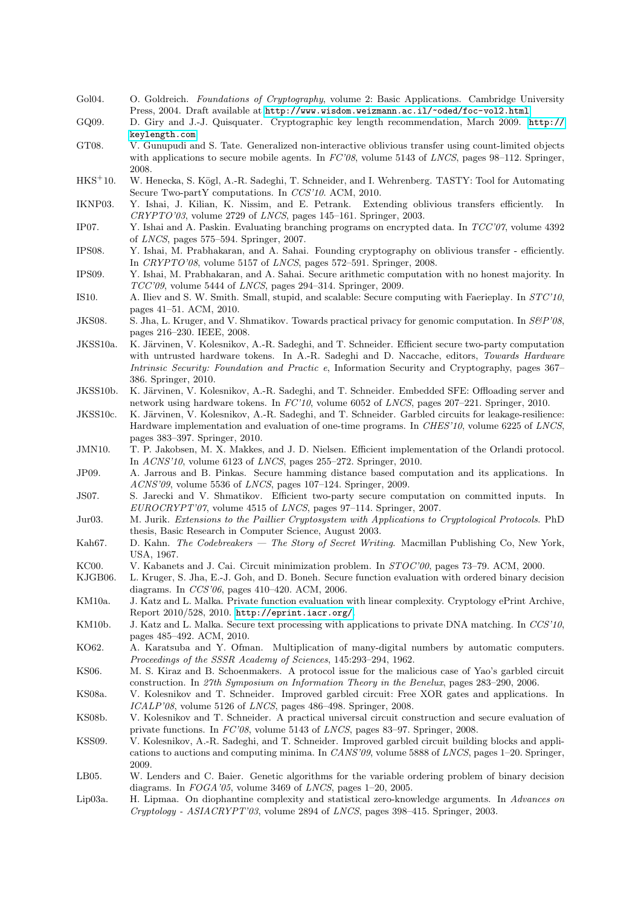- <span id="page-18-7"></span>Gol04. O. Goldreich. Foundations of Cryptography, volume 2: Basic Applications. Cambridge University Press, 2004. Draft available at <http://www.wisdom.weizmann.ac.il/~oded/foc-vol2.html>.
- <span id="page-18-8"></span>GQ09. D. Giry and J.-J. Quisquater. Cryptographic key length recommendation, March 2009. [http://](http://keylength.com) [keylength.com](http://keylength.com).
- <span id="page-18-16"></span>GT08. V. Gunupudi and S. Tate. Generalized non-interactive oblivious transfer using count-limited objects with applications to secure mobile agents. In  $FC'08$ , volume 5143 of *LNCS*, pages 98–112. Springer, 2008.
- <span id="page-18-2"></span>HKS<sup>+</sup>10. W. Henecka, S. Kögl, A.-R. Sadeghi, T. Schneider, and I. Wehrenberg. TASTY: Tool for Automating Secure Two-partY computations. In CCS'10. ACM, 2010.
- <span id="page-18-9"></span>IKNP03. Y. Ishai, J. Kilian, K. Nissim, and E. Petrank. Extending oblivious transfers efficiently. In  $CRYPTO'03$ , volume 2729 of  $LNCS$ , pages 145–161. Springer, 2003.
- <span id="page-18-23"></span>IP07. Y. Ishai and A. Paskin. Evaluating branching programs on encrypted data. In TCC'07, volume 4392 of LNCS, pages 575–594. Springer, 2007.
- <span id="page-18-12"></span>IPS08. Y. Ishai, M. Prabhakaran, and A. Sahai. Founding cryptography on oblivious transfer - efficiently. In CRYPTO'08, volume 5157 of LNCS, pages 572–591. Springer, 2008.
- <span id="page-18-4"></span>IPS09. Y. Ishai, M. Prabhakaran, and A. Sahai. Secure arithmetic computation with no honest majority. In  $TCC'09$ , volume 5444 of *LNCS*, pages 294–314. Springer, 2009.
- <span id="page-18-15"></span>IS10. A. Iliev and S. W. Smith. Small, stupid, and scalable: Secure computing with Faerieplay. In STC'10, pages 41–51. ACM, 2010.
- <span id="page-18-3"></span>JKS08. S. Jha, L. Kruger, and V. Shmatikov. Towards practical privacy for genomic computation. In  $S\&P'08$ , pages 216–230. IEEE, 2008.
- <span id="page-18-18"></span>JKSS10a. K. Järvinen, V. Kolesnikov, A.-R. Sadeghi, and T. Schneider. Efficient secure two-party computation with untrusted hardware tokens. In A.-R. Sadeghi and D. Naccache, editors, Towards Hardware Intrinsic Security: Foundation and Practic e, Information Security and Cryptography, pages 367– 386. Springer, 2010.
- <span id="page-18-14"></span>JKSS10b. K. Järvinen, V. Kolesnikov, A.-R. Sadeghi, and T. Schneider. Embedded SFE: Offloading server and network using hardware tokens. In FC'10, volume 6052 of LNCS, pages 207–221. Springer, 2010.
- <span id="page-18-17"></span>JKSS10c. K. Järvinen, V. Kolesnikov, A.-R. Sadeghi, and T. Schneider. Garbled circuits for leakage-resilience: Hardware implementation and evaluation of one-time programs. In CHES'10, volume 6225 of LNCS, pages 383–397. Springer, 2010.

<span id="page-18-5"></span>JMN10. T. P. Jakobsen, M. X. Makkes, and J. D. Nielsen. Efficient implementation of the Orlandi protocol. In ACNS'10, volume 6123 of LNCS, pages 255–272. Springer, 2010.

- <span id="page-18-24"></span>JP09. A. Jarrous and B. Pinkas. Secure hamming distance based computation and its applications. In ACNS'09, volume 5536 of LNCS, pages 107–124. Springer, 2009.
- <span id="page-18-11"></span>JS07. S. Jarecki and V. Shmatikov. Efficient two-party secure computation on committed inputs. In EUROCRYPT'07, volume 4515 of LNCS, pages 97–114. Springer, 2007.
- <span id="page-18-27"></span>Jur03. M. Jurik. Extensions to the Paillier Cryptosystem with Applications to Cryptological Protocols. PhD thesis, Basic Research in Computer Science, August 2003.
- <span id="page-18-25"></span>Kah67. D. Kahn. The Codebreakers — The Story of Secret Writing. Macmillan Publishing Co, New York, USA, 1967.
- <span id="page-18-6"></span>KC00. V. Kabanets and J. Cai. Circuit minimization problem. In STOC'00, pages 73–79. ACM, 2000.
- <span id="page-18-22"></span>KJGB06. L. Kruger, S. Jha, E.-J. Goh, and D. Boneh. Secure function evaluation with ordered binary decision diagrams. In CCS'06, pages 410–420. ACM, 2006.
- <span id="page-18-21"></span>KM10a. J. Katz and L. Malka. Private function evaluation with linear complexity. Cryptology ePrint Archive, Report 2010/528, 2010. <http://eprint.iacr.org/>.
- <span id="page-18-1"></span>KM10b. J. Katz and L. Malka. Secure text processing with applications to private DNA matching. In CCS'10, pages 485–492. ACM, 2010.
- <span id="page-18-19"></span>KO62. A. Karatsuba and Y. Ofman. Multiplication of many-digital numbers by automatic computers. Proceedings of the SSSR Academy of Sciences, 145:293–294, 1962.
- <span id="page-18-10"></span>KS06. M. S. Kiraz and B. Schoenmakers. A protocol issue for the malicious case of Yao's garbled circuit construction. In 27th Symposium on Information Theory in the Benelux, pages 283–290, 2006.
- <span id="page-18-13"></span>KS08a. V. Kolesnikov and T. Schneider. Improved garbled circuit: Free XOR gates and applications. In ICALP'08, volume 5126 of LNCS, pages 486–498. Springer, 2008.
- <span id="page-18-20"></span>KS08b. V. Kolesnikov and T. Schneider. A practical universal circuit construction and secure evaluation of private functions. In FC'08, volume 5143 of LNCS, pages 83–97. Springer, 2008.
- <span id="page-18-0"></span>KSS09. V. Kolesnikov, A.-R. Sadeghi, and T. Schneider. Improved garbled circuit building blocks and applications to auctions and computing minima. In CANS'09, volume 5888 of LNCS, pages 1–20. Springer, 2009.
- <span id="page-18-26"></span>LB05. W. Lenders and C. Baier. Genetic algorithms for the variable ordering problem of binary decision diagrams. In  $FOGA'05$ , volume 3469 of *LNCS*, pages 1–20, 2005.
- <span id="page-18-28"></span>Lip03a. H. Lipmaa. On diophantine complexity and statistical zero-knowledge arguments. In Advances on Cryptology - ASIACRYPT'03, volume 2894 of LNCS, pages 398–415. Springer, 2003.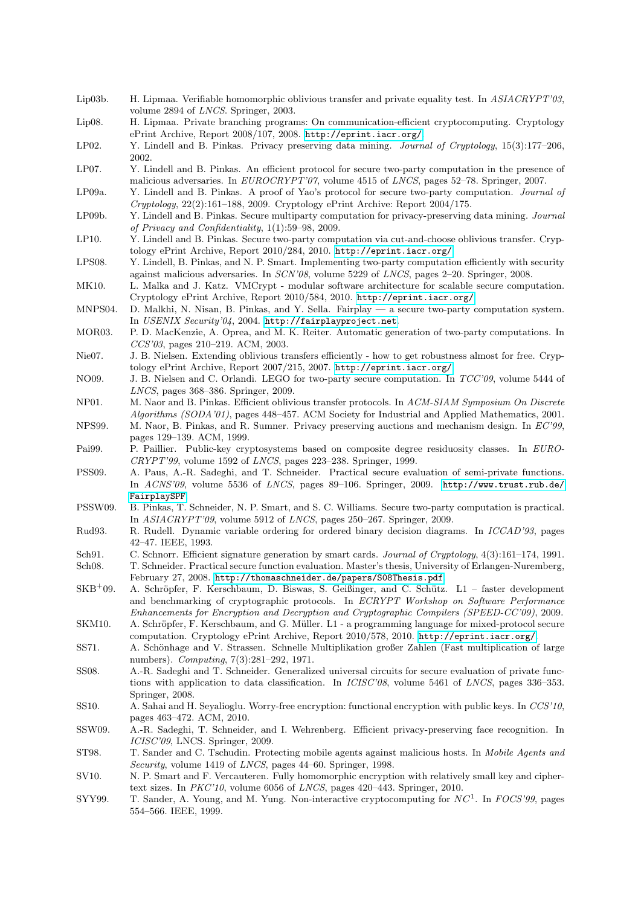- <span id="page-19-14"></span>Lip03b. H. Lipmaa. Verifiable homomorphic oblivious transfer and private equality test. In ASIACRYPT'03, volume 2894 of LNCS. Springer, 2003.
- <span id="page-19-26"></span>Lip08. H. Lipmaa. Private branching programs: On communication-efficient cryptocomputing. Cryptology ePrint Archive, Report 2008/107, 2008. <http://eprint.iacr.org/>.
- <span id="page-19-5"></span>LP02. Y. Lindell and B. Pinkas. Privacy preserving data mining. Journal of Cryptology, 15(3):177–206, 2002.
- <span id="page-19-16"></span>LP07. Y. Lindell and B. Pinkas. An efficient protocol for secure two-party computation in the presence of malicious adversaries. In EUROCRYPT'07, volume 4515 of LNCS, pages 52-78. Springer, 2007.
- <span id="page-19-21"></span>LP09a. Y. Lindell and B. Pinkas. A proof of Yao's protocol for secure two-party computation. Journal of Cryptology, 22(2):161–188, 2009. Cryptology ePrint Archive: Report 2004/175.
- <span id="page-19-6"></span>LP09b. Y. Lindell and B. Pinkas. Secure multiparty computation for privacy-preserving data mining. Journal of Privacy and Confidentiality, 1(1):59–98, 2009.
- <span id="page-19-17"></span>LP10. Y. Lindell and B. Pinkas. Secure two-party computation via cut-and-choose oblivious transfer. Cryptology ePrint Archive, Report 2010/284, 2010. <http://eprint.iacr.org/>.
- <span id="page-19-18"></span>LPS08. Y. Lindell, B. Pinkas, and N. P. Smart. Implementing two-party computation efficiently with security against malicious adversaries. In SCN'08, volume 5229 of LNCS, pages 2–20. Springer, 2008.
- <span id="page-19-22"></span>MK10. L. Malka and J. Katz. VMCrypt - modular software architecture for scalable secure computation. Cryptology ePrint Archive, Report 2010/584, 2010. <http://eprint.iacr.org/>.
- <span id="page-19-8"></span>MNPS04. D. Malkhi, N. Nisan, B. Pinkas, and Y. Sella. Fairplay — a secure two-party computation system. In USENIX Security'04, 2004. <http://fairplayproject.net>.
- <span id="page-19-7"></span>MOR03. P. D. MacKenzie, A. Oprea, and M. K. Reiter. Automatic generation of two-party computations. In CCS'03, pages 210–219. ACM, 2003.
- <span id="page-19-15"></span>Nie07. J. B. Nielsen. Extending oblivious transfers efficiently - how to get robustness almost for free. Cryptology ePrint Archive, Report 2007/215, 2007. <http://eprint.iacr.org/>.
- <span id="page-19-20"></span>NO09. J. B. Nielsen and C. Orlandi. LEGO for two-party secure computation. In  $TCC'09$ , volume 5444 of LNCS, pages 368–386. Springer, 2009.
- <span id="page-19-13"></span>NP01. M. Naor and B. Pinkas. Efficient oblivious transfer protocols. In ACM-SIAM Symposium On Discrete Algorithms (SODA'01), pages 448–457. ACM Society for Industrial and Applied Mathematics, 2001.
- <span id="page-19-2"></span>NPS99. M. Naor, B. Pinkas, and R. Sumner. Privacy preserving auctions and mechanism design. In EC'99, pages 129–139. ACM, 1999.
- <span id="page-19-0"></span>Pai99. P. Paillier. Public-key cryptosystems based on composite degree residuosity classes. In EURO-CRYPT'99, volume 1592 of LNCS, pages 223–238. Springer, 1999.
- <span id="page-19-24"></span>PSS09. A. Paus, A.-R. Sadeghi, and T. Schneider. Practical secure evaluation of semi-private functions. In ACNS'09, volume 5536 of LNCS, pages 89–106. Springer, 2009. [http://www.trust.rub.de/](http://www.trust.rub.de/FairplaySPF) [FairplaySPF](http://www.trust.rub.de/FairplaySPF).
- <span id="page-19-19"></span>PSSW09. B. Pinkas, T. Schneider, N. P. Smart, and S. C. Williams. Secure two-party computation is practical. In ASIACRYPT'09, volume 5912 of LNCS, pages 250–267. Springer, 2009.
- <span id="page-19-27"></span>Rud93. R. Rudell. Dynamic variable ordering for ordered binary decision diagrams. In ICCAD'93, pages 42–47. IEEE, 1993.
- <span id="page-19-29"></span>Sch91. C. Schnorr. Efficient signature generation by smart cards. Journal of Cryptology, 4(3):161–174, 1991.
- <span id="page-19-25"></span>Sch08. T. Schneider. Practical secure function evaluation. Master's thesis, University of Erlangen-Nuremberg, February 27, 2008. <http://thomaschneider.de/papers/S08Thesis.pdf>.
- <span id="page-19-9"></span> $SKB<sup>+</sup>09.$  A. Schröpfer, F. Kerschbaum, D. Biswas, S. Geißinger, and C. Schütz. L1 – faster development and benchmarking of cryptographic protocols. In ECRYPT Workshop on Software Performance Enhancements for Encryption and Decryption and Cryptographic Compilers (SPEED-CC'09), 2009.
- <span id="page-19-10"></span>SKM10. A. Schröpfer, F. Kerschbaum, and G. Müller. L1 - a programming language for mixed-protocol secure computation. Cryptology ePrint Archive, Report 2010/578, 2010. <http://eprint.iacr.org/>.
- <span id="page-19-28"></span>SS71. A. Schönhage and V. Strassen. Schnelle Multiplikation großer Zahlen (Fast multiplication of large numbers). Computing, 7(3):281–292, 1971.
- <span id="page-19-23"></span>SS08. A.-R. Sadeghi and T. Schneider. Generalized universal circuits for secure evaluation of private functions with application to data classification. In *ICISC'08*, volume 5461 of *LNCS*, pages 336–353. Springer, 2008.
- <span id="page-19-3"></span>SS10. A. Sahai and H. Seyalioglu. Worry-free encryption: functional encryption with public keys. In CCS'10, pages 463–472. ACM, 2010.
- <span id="page-19-4"></span>SSW09. A.-R. Sadeghi, T. Schneider, and I. Wehrenberg. Efficient privacy-preserving face recognition. In ICISC'09, LNCS. Springer, 2009.
- <span id="page-19-11"></span>ST98. T. Sander and C. Tschudin. Protecting mobile agents against malicious hosts. In Mobile Agents and Security, volume 1419 of LNCS, pages 44–60. Springer, 1998.
- <span id="page-19-1"></span>SV10. N. P. Smart and F. Vercauteren. Fully homomorphic encryption with relatively small key and ciphertext sizes. In  $PKC'10$ , volume 6056 of *LNCS*, pages 420–443. Springer, 2010.
- <span id="page-19-12"></span>SYY99. T. Sander, A. Young, and M. Yung. Non-interactive cryptocomputing for  $NC<sup>1</sup>$ . In FOCS'99, pages 554–566. IEEE, 1999.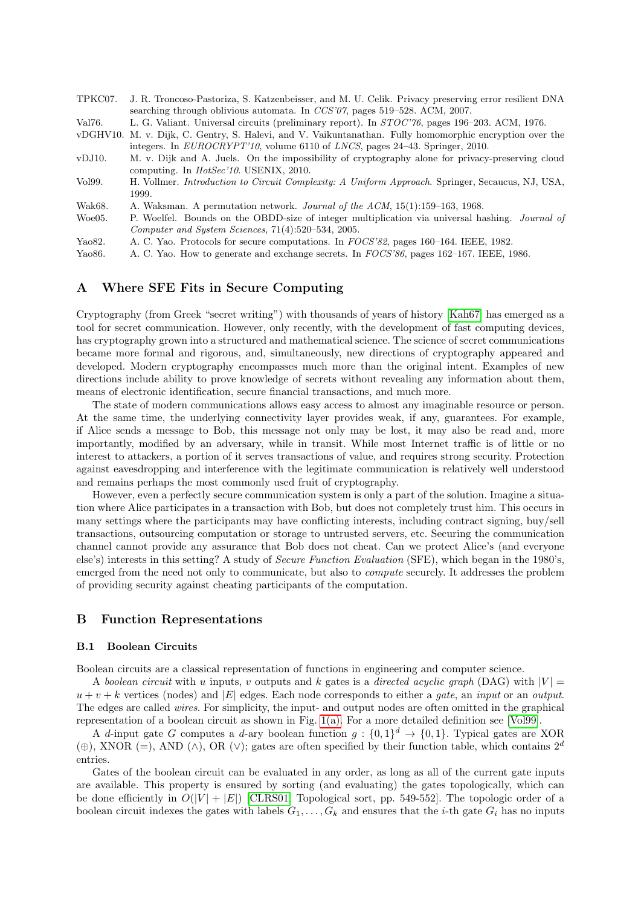- <span id="page-20-6"></span>TPKC07. J. R. Troncoso-Pastoriza, S. Katzenbeisser, and M. U. Celik. Privacy preserving error resilient DNA searching through oblivious automata. In CCS'07, pages 519–528. ACM, 2007.
- <span id="page-20-7"></span>Val76. L. G. Valiant. Universal circuits (preliminary report). In STOC'76, pages 196–203. ACM, 1976.
- <span id="page-20-4"></span>vDGHV10. M. v. Dijk, C. Gentry, S. Halevi, and V. Vaikuntanathan. Fully homomorphic encryption over the integers. In EUROCRYPT'10, volume 6110 of LNCS, pages 24–43. Springer, 2010.
- <span id="page-20-9"></span>vDJ10. M. v. Dijk and A. Juels. On the impossibility of cryptography alone for privacy-preserving cloud computing. In HotSec'10. USENIX, 2010.
- <span id="page-20-10"></span>Vol99. H. Vollmer. Introduction to Circuit Complexity: A Uniform Approach. Springer, Secaucus, NJ, USA, 1999.
- <span id="page-20-8"></span>Wak68. A. Waksman. A permutation network. Journal of the ACM, 15(1):159-163, 1968.
- <span id="page-20-11"></span>Woe05. P. Woelfel. Bounds on the OBDD-size of integer multiplication via universal hashing. Journal of Computer and System Sciences, 71(4):520–534, 2005.
- <span id="page-20-3"></span>Yao82. A. C. Yao. Protocols for secure computations. In FOCS'82, pages 160–164. IEEE, 1982.
- <span id="page-20-5"></span>Yao86. A. C. Yao. How to generate and exchange secrets. In FOCS'86, pages 162–167. IEEE, 1986.

## <span id="page-20-0"></span>A Where SFE Fits in Secure Computing

Cryptography (from Greek "secret writing") with thousands of years of history [\[Kah67\]](#page-18-25) has emerged as a tool for secret communication. However, only recently, with the development of fast computing devices, has cryptography grown into a structured and mathematical science. The science of secret communications became more formal and rigorous, and, simultaneously, new directions of cryptography appeared and developed. Modern cryptography encompasses much more than the original intent. Examples of new directions include ability to prove knowledge of secrets without revealing any information about them, means of electronic identification, secure financial transactions, and much more.

The state of modern communications allows easy access to almost any imaginable resource or person. At the same time, the underlying connectivity layer provides weak, if any, guarantees. For example, if Alice sends a message to Bob, this message not only may be lost, it may also be read and, more importantly, modified by an adversary, while in transit. While most Internet traffic is of little or no interest to attackers, a portion of it serves transactions of value, and requires strong security. Protection against eavesdropping and interference with the legitimate communication is relatively well understood and remains perhaps the most commonly used fruit of cryptography.

However, even a perfectly secure communication system is only a part of the solution. Imagine a situation where Alice participates in a transaction with Bob, but does not completely trust him. This occurs in many settings where the participants may have conflicting interests, including contract signing, buy/sell transactions, outsourcing computation or storage to untrusted servers, etc. Securing the communication channel cannot provide any assurance that Bob does not cheat. Can we protect Alice's (and everyone else's) interests in this setting? A study of Secure Function Evaluation (SFE), which began in the 1980's, emerged from the need not only to communicate, but also to *compute* securely. It addresses the problem of providing security against cheating participants of the computation.

## <span id="page-20-1"></span>B Function Representations

#### <span id="page-20-2"></span>B.1 Boolean Circuits

Boolean circuits are a classical representation of functions in engineering and computer science.

A boolean circuit with u inputs, v outputs and k gates is a directed acyclic graph (DAG) with  $|V|$  $u + v + k$  vertices (nodes) and |E| edges. Each node corresponds to either a *gate*, an *input* or an *output*. The edges are called wires. For simplicity, the input- and output nodes are often omitted in the graphical representation of a boolean circuit as shown in Fig. [1\(a\).](#page-5-2) For a more detailed definition see [\[Vol99\]](#page-20-10).

A d-input gate G computes a d-ary boolean function  $g: \{0,1\}^d \to \{0,1\}$ . Typical gates are XOR (⊕), XNOR (=), AND (∧), OR (∨); gates are often specified by their function table, which contains  $2^d$ entries.

Gates of the boolean circuit can be evaluated in any order, as long as all of the current gate inputs are available. This property is ensured by sorting (and evaluating) the gates topologically, which can be done efficiently in  $O(|V| + |E|)$  [\[CLRS01,](#page-17-22) Topological sort, pp. 549-552]. The topologic order of a boolean circuit indexes the gates with labels  $G_1, \ldots, G_k$  and ensures that the *i*-th gate  $G_i$  has no inputs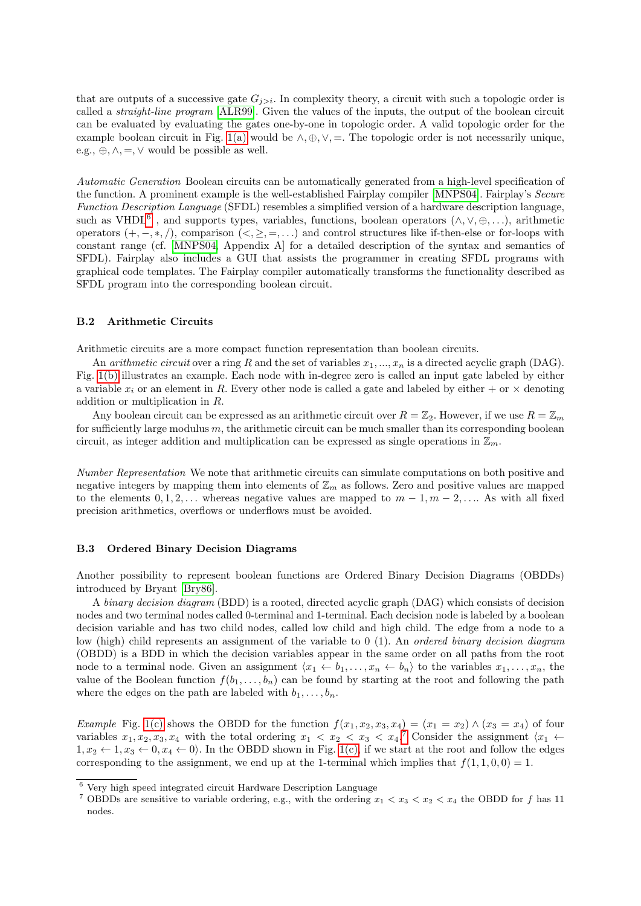that are outputs of a successive gate  $G_{j>i}$ . In complexity theory, a circuit with such a topologic order is called a straight-line program [\[ALR99\]](#page-16-16). Given the values of the inputs, the output of the boolean circuit can be evaluated by evaluating the gates one-by-one in topologic order. A valid topologic order for the example boolean circuit in Fig. [1\(a\)](#page-5-2) would be  $\wedge, \oplus, \vee, =$ . The topologic order is not necessarily unique, e.g.,  $\oplus$ ,  $\wedge$ ,  $=$ ,  $\vee$  would be possible as well.

<span id="page-21-0"></span>Automatic Generation Boolean circuits can be automatically generated from a high-level specification of the function. A prominent example is the well-established Fairplay compiler [\[MNPS04\]](#page-19-8). Fairplay's Secure Function Description Language (SFDL) resembles a simplified version of a hardware description language, such as VHDL<sup>[6](#page-21-5)</sup>, and supports types, variables, functions, boolean operators  $(\wedge, \vee, \oplus, \ldots)$ , arithmetic operators  $(+, -, *, /)$ , comparison  $(<, \geq, =, ...)$  and control structures like if-then-else or for-loops with constant range (cf. [\[MNPS04,](#page-19-8) Appendix A] for a detailed description of the syntax and semantics of SFDL). Fairplay also includes a GUI that assists the programmer in creating SFDL programs with graphical code templates. The Fairplay compiler automatically transforms the functionality described as SFDL program into the corresponding boolean circuit.

#### <span id="page-21-1"></span>B.2 Arithmetic Circuits

Arithmetic circuits are a more compact function representation than boolean circuits.

An *arithmetic circuit* over a ring R and the set of variables  $x_1, ..., x_n$  is a directed acyclic graph (DAG). Fig. [1\(b\)](#page-5-3) illustrates an example. Each node with in-degree zero is called an input gate labeled by either a variable  $x_i$  or an element in R. Every other node is called a gate and labeled by either + or  $\times$  denoting addition or multiplication in R.

Any boolean circuit can be expressed as an arithmetic circuit over  $R = \mathbb{Z}_2$ . However, if we use  $R = \mathbb{Z}_m$ for sufficiently large modulus  $m$ , the arithmetic circuit can be much smaller than its corresponding boolean circuit, as integer addition and multiplication can be expressed as single operations in  $\mathbb{Z}_m$ .

<span id="page-21-2"></span>Number Representation We note that arithmetic circuits can simulate computations on both positive and negative integers by mapping them into elements of  $\mathbb{Z}_m$  as follows. Zero and positive values are mapped to the elements  $0, 1, 2, \ldots$  whereas negative values are mapped to  $m-1, m-2, \ldots$ . As with all fixed precision arithmetics, overflows or underflows must be avoided.

#### <span id="page-21-3"></span>B.3 Ordered Binary Decision Diagrams

Another possibility to represent boolean functions are Ordered Binary Decision Diagrams (OBDDs) introduced by Bryant [\[Bry86\]](#page-16-17).

A binary decision diagram (BDD) is a rooted, directed acyclic graph (DAG) which consists of decision nodes and two terminal nodes called 0-terminal and 1-terminal. Each decision node is labeled by a boolean decision variable and has two child nodes, called low child and high child. The edge from a node to a low (high) child represents an assignment of the variable to 0 (1). An *ordered binary decision diagram* (OBDD) is a BDD in which the decision variables appear in the same order on all paths from the root node to a terminal node. Given an assignment  $\langle x_1 \leftarrow b_1, \ldots, x_n \leftarrow b_n \rangle$  to the variables  $x_1, \ldots, x_n$ , the value of the Boolean function  $f(b_1, \ldots, b_n)$  can be found by starting at the root and following the path where the edges on the path are labeled with  $b_1, \ldots, b_n$ .

<span id="page-21-4"></span>Example Fig. [1\(c\)](#page-5-4) shows the OBDD for the function  $f(x_1, x_2, x_3, x_4) = (x_1 = x_2) \wedge (x_3 = x_4)$  of four variables  $x_1, x_2, x_3, x_4$  with the total ordering  $x_1 < x_2 < x_3 < x_4$ .<sup>[7](#page-21-6)</sup> Consider the assignment  $\langle x_1 \leftarrow$  $1, x_2 \leftarrow 1, x_3 \leftarrow 0, x_4 \leftarrow 0$ . In the OBDD shown in Fig. [1\(c\),](#page-5-4) if we start at the root and follow the edges corresponding to the assignment, we end up at the 1-terminal which implies that  $f(1, 1, 0, 0) = 1$ .

<span id="page-21-5"></span> $\,$  6 Very high speed integrated circuit Hardware Description Language

<span id="page-21-6"></span><sup>&</sup>lt;sup>7</sup> OBDDs are sensitive to variable ordering, e.g., with the ordering  $x_1 < x_3 < x_2 < x_4$  the OBDD for f has 11 nodes.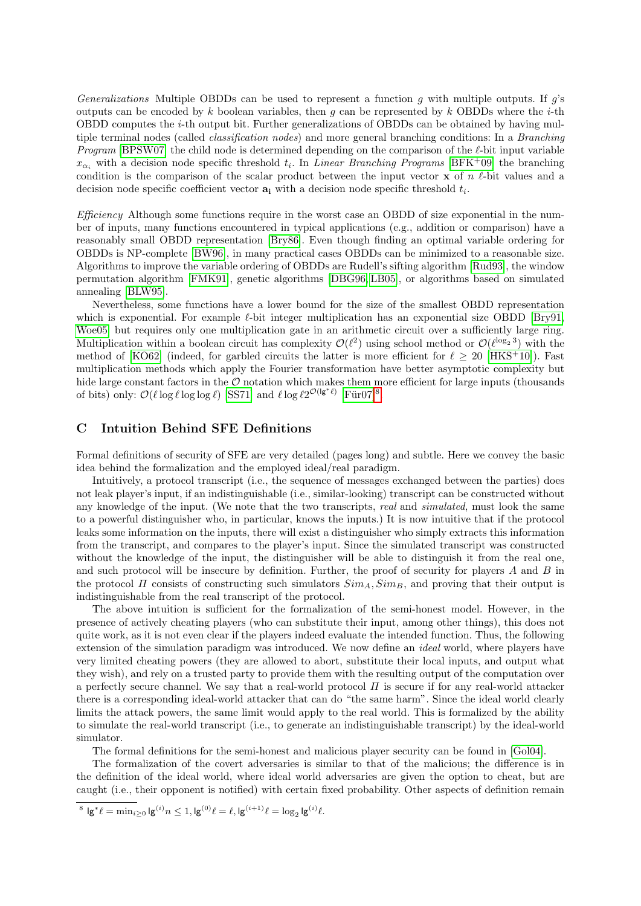<span id="page-22-0"></span>Generalizations Multiple OBDDs can be used to represent a function g with multiple outputs. If  $g$ 's outputs can be encoded by k boolean variables, then g can be represented by k OBDDs where the *i*-th OBDD computes the i-th output bit. Further generalizations of OBDDs can be obtained by having multiple terminal nodes (called classification nodes) and more general branching conditions: In a Branching *Program* [\[BPSW07\]](#page-16-2) the child node is determined depending on the comparison of the  $\ell$ -bit input variable  $x_{\alpha_i}$  with a decision node specific threshold  $t_i$ . In *Linear Branching Programs* [\[BFK](#page-16-4)<sup>+</sup>09] the branching condition is the comparison of the scalar product between the input vector  $x$  of  $n \ell$ -bit values and a decision node specific coefficient vector  $a_i$  with a decision node specific threshold  $t_i$ .

<span id="page-22-1"></span> $Efficiency$  Although some functions require in the worst case an OBDD of size exponential in the number of inputs, many functions encountered in typical applications (e.g., addition or comparison) have a reasonably small OBDD representation [\[Bry86\]](#page-16-17). Even though finding an optimal variable ordering for OBDDs is NP-complete [\[BW96\]](#page-16-9), in many practical cases OBDDs can be minimized to a reasonable size. Algorithms to improve the variable ordering of OBDDs are Rudell's sifting algorithm [\[Rud93\]](#page-19-27), the window permutation algorithm [\[FMK91\]](#page-17-23), genetic algorithms [\[DBG96,](#page-17-24) [LB05\]](#page-18-26), or algorithms based on simulated annealing [\[BLW95\]](#page-16-18).

Nevertheless, some functions have a lower bound for the size of the smallest OBDD representation which is exponential. For example  $\ell$ -bit integer multiplication has an exponential size OBDD [\[Bry91,](#page-16-19) Woe05 but requires only one multiplication gate in an arithmetic circuit over a sufficiently large ring. Multiplication within a boolean circuit has complexity  $\mathcal{O}(\ell^2)$  using school method or  $\mathcal{O}(\ell^{\log_2 3})$  with the method of [\[KO62\]](#page-18-19) (indeed, for garbled circuits the latter is more efficient for  $\ell > 20$  [\[HKS](#page-18-2)<sup>+</sup>10]). Fast multiplication methods which apply the Fourier transformation have better asymptotic complexity but hide large constant factors in the  $\mathcal O$  notation which makes them more efficient for large inputs (thousands of bits) only:  $\mathcal{O}(\ell \log \ell \log \log \ell)$  [\[SS71\]](#page-19-28) and  $\ell \log \ell 2^{\mathcal{O}(\lg^* \ell)}$  [Für07]<sup>[8](#page-22-3)</sup>.

## <span id="page-22-2"></span>C Intuition Behind SFE Definitions

Formal definitions of security of SFE are very detailed (pages long) and subtle. Here we convey the basic idea behind the formalization and the employed ideal/real paradigm.

Intuitively, a protocol transcript (i.e., the sequence of messages exchanged between the parties) does not leak player's input, if an indistinguishable (i.e., similar-looking) transcript can be constructed without any knowledge of the input. (We note that the two transcripts, real and simulated, must look the same to a powerful distinguisher who, in particular, knows the inputs.) It is now intuitive that if the protocol leaks some information on the inputs, there will exist a distinguisher who simply extracts this information from the transcript, and compares to the player's input. Since the simulated transcript was constructed without the knowledge of the input, the distinguisher will be able to distinguish it from the real one, and such protocol will be insecure by definition. Further, the proof of security for players  $A$  and  $B$  in the protocol  $\Pi$  consists of constructing such simulators  $Sim_A, Sim_B$ , and proving that their output is indistinguishable from the real transcript of the protocol.

The above intuition is sufficient for the formalization of the semi-honest model. However, in the presence of actively cheating players (who can substitute their input, among other things), this does not quite work, as it is not even clear if the players indeed evaluate the intended function. Thus, the following extension of the simulation paradigm was introduced. We now define an *ideal* world, where players have very limited cheating powers (they are allowed to abort, substitute their local inputs, and output what they wish), and rely on a trusted party to provide them with the resulting output of the computation over a perfectly secure channel. We say that a real-world protocol  $\Pi$  is secure if for any real-world attacker there is a corresponding ideal-world attacker that can do "the same harm". Since the ideal world clearly limits the attack powers, the same limit would apply to the real world. This is formalized by the ability to simulate the real-world transcript (i.e., to generate an indistinguishable transcript) by the ideal-world simulator.

The formal definitions for the semi-honest and malicious player security can be found in [\[Gol04\]](#page-18-7).

The formalization of the covert adversaries is similar to that of the malicious; the difference is in the definition of the ideal world, where ideal world adversaries are given the option to cheat, but are caught (i.e., their opponent is notified) with certain fixed probability. Other aspects of definition remain

<span id="page-22-3"></span><sup>&</sup>lt;sup>8</sup>  $\lg^* \ell = \min_{i \ge 0} \lg^{(i)} n \le 1, \lg^{(0)} \ell = \ell, \lg^{(i+1)} \ell = \log_2 \lg^{(i)} \ell.$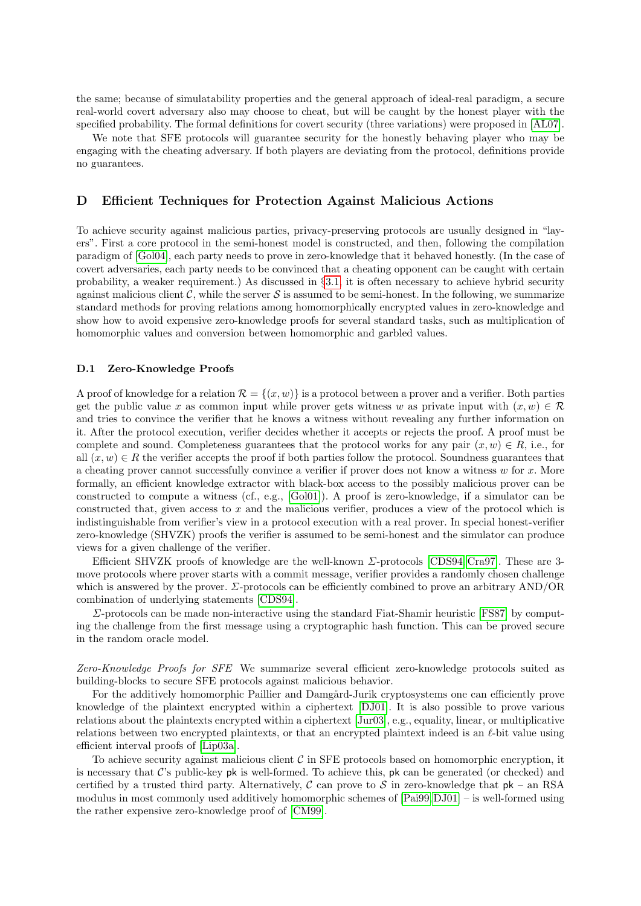the same; because of simulatability properties and the general approach of ideal-real paradigm, a secure real-world covert adversary also may choose to cheat, but will be caught by the honest player with the specified probability. The formal definitions for covert security (three variations) were proposed in [\[AL07\]](#page-16-14).

We note that SFE protocols will guarantee security for the honestly behaving player who may be engaging with the cheating adversary. If both players are deviating from the protocol, definitions provide no guarantees.

# <span id="page-23-0"></span>D Efficient Techniques for Protection Against Malicious Actions

To achieve security against malicious parties, privacy-preserving protocols are usually designed in "layers". First a core protocol in the semi-honest model is constructed, and then, following the compilation paradigm of [\[Gol04\]](#page-18-7), each party needs to prove in zero-knowledge that it behaved honestly. (In the case of covert adversaries, each party needs to be convinced that a cheating opponent can be caught with certain probability, a weaker requirement.) As discussed in §[3.1,](#page-5-1) it is often necessary to achieve hybrid security against malicious client C, while the server S is assumed to be semi-honest. In the following, we summarize standard methods for proving relations among homomorphically encrypted values in zero-knowledge and show how to avoid expensive zero-knowledge proofs for several standard tasks, such as multiplication of homomorphic values and conversion between homomorphic and garbled values.

#### <span id="page-23-1"></span>D.1 Zero-Knowledge Proofs

A proof of knowledge for a relation  $\mathcal{R} = \{(x, w)\}\$ is a protocol between a prover and a verifier. Both parties get the public value x as common input while prover gets witness w as private input with  $(x, w) \in \mathcal{R}$ and tries to convince the verifier that he knows a witness without revealing any further information on it. After the protocol execution, verifier decides whether it accepts or rejects the proof. A proof must be complete and sound. Completeness guarantees that the protocol works for any pair  $(x, w) \in R$ , i.e., for all  $(x, w) \in R$  the verifier accepts the proof if both parties follow the protocol. Soundness guarantees that a cheating prover cannot successfully convince a verifier if prover does not know a witness  $w$  for  $x$ . More formally, an efficient knowledge extractor with black-box access to the possibly malicious prover can be constructed to compute a witness (cf., e.g., [\[Gol01\]](#page-17-26)). A proof is zero-knowledge, if a simulator can be constructed that, given access to x and the malicious verifier, produces a view of the protocol which is indistinguishable from verifier's view in a protocol execution with a real prover. In special honest-verifier zero-knowledge (SHVZK) proofs the verifier is assumed to be semi-honest and the simulator can produce views for a given challenge of the verifier.

Efficient SHVZK proofs of knowledge are the well-known Σ-protocols [\[CDS94,](#page-17-27) [Cra97\]](#page-17-28). These are 3 move protocols where prover starts with a commit message, verifier provides a randomly chosen challenge which is answered by the prover.  $\Sigma$ -protocols can be efficiently combined to prove an arbitrary AND/OR combination of underlying statements [\[CDS94\]](#page-17-27).

Σ-protocols can be made non-interactive using the standard Fiat-Shamir heuristic [\[FS87\]](#page-17-29) by computing the challenge from the first message using a cryptographic hash function. This can be proved secure in the random oracle model.

<span id="page-23-2"></span>Zero-Knowledge Proofs for SFE We summarize several efficient zero-knowledge protocols suited as building-blocks to secure SFE protocols against malicious behavior.

For the additively homomorphic Paillier and Damgård-Jurik cryptosystems one can efficiently prove knowledge of the plaintext encrypted within a ciphertext [\[DJ01\]](#page-17-0). It is also possible to prove various relations about the plaintexts encrypted within a ciphertext [\[Jur03\]](#page-18-27), e.g., equality, linear, or multiplicative relations between two encrypted plaintexts, or that an encrypted plaintext indeed is an  $\ell$ -bit value using efficient interval proofs of [\[Lip03a\]](#page-18-28).

To achieve security against malicious client  $\mathcal C$  in SFE protocols based on homomorphic encryption, it is necessary that  $\mathcal{C}$ 's public-key pk is well-formed. To achieve this, pk can be generated (or checked) and certified by a trusted third party. Alternatively,  $C$  can prove to S in zero-knowledge that  $pk - an RSA$ modulus in most commonly used additively homomorphic schemes of [\[Pai99,](#page-19-0)[DJ01\]](#page-17-0) – is well-formed using the rather expensive zero-knowledge proof of [\[CM99\]](#page-17-30).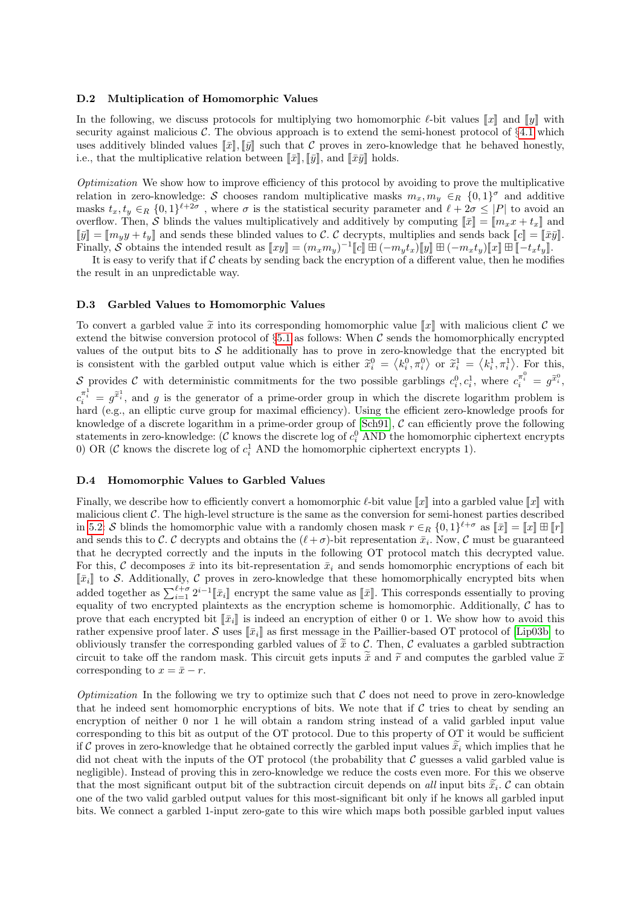#### <span id="page-24-0"></span>D.2 Multiplication of Homomorphic Values

In the following, we discuss protocols for multiplying two homomorphic  $\ell$ -bit values  $\llbracket x \rrbracket$  and  $\llbracket y \rrbracket$  with security against malicious  $\mathcal{C}$ . The obvious approach is to extend the semi-honest protocol of §[4.1](#page-8-4) which uses additively blinded values  $\llbracket \bar{x} \rrbracket, \llbracket \bar{y} \rrbracket$  such that C proves in zero-knowledge that he behaved honestly, i.e., that the multiplicative relation between  $\llbracket \bar{x} \rrbracket, \llbracket \bar{y} \rrbracket$ , and  $\llbracket \bar{x}\bar{y} \rrbracket$  holds.

<span id="page-24-1"></span>Optimization We show how to improve efficiency of this protocol by avoiding to prove the multiplicative relation in zero-knowledge: S chooses random multiplicative masks  $m_x, m_y \in_R \{0, 1\}^{\sigma}$  and additive masks  $t_x, t_y \in_R \{0,1\}^{\ell+2\sigma}$ , where  $\sigma$  is the statistical security parameter and  $\ell + 2\sigma \leq |P|$  to avoid an overflow. Then, S blinds the values multiplicatively and additively by computing  $\|\bar{x}\| = \|m_x x + t_x\|$  and  $\llbracket \bar{y} \rrbracket = \llbracket m_y y + t_y \rrbracket$  and sends these blinded values to C. C decrypts, multiplies and sends back  $\llbracket c \rrbracket = \llbracket \bar{x}\bar{y} \rrbracket$ . Finally, S obtains the intended result as  $[[xy]] = (m_x m_y)^{-1} [c] \boxplus (-m_y t_x) [y] \boxplus (-m_x t_y) [x] \boxplus [-t_x t_y]$ 

It is easy to verify that if  $C$  cheats by sending back the encryption of a different value, then he modifies the result in an unpredictable way.

#### <span id="page-24-2"></span>D.3 Garbled Values to Homomorphic Values

To convert a garbled value  $\tilde{x}$  into its corresponding homomorphic value  $\llbracket x \rrbracket$  with malicious client C we extend the bitwise conversion protocol of  $\S 5.1$  $\S 5.1$  as follows: When C sends the homomorphically encrypted values of the output bits to  $S$  he additionally has to prove in zero-knowledge that the encrypted bit is consistent with the garbled output value which is either  $\tilde{x}_i^0 = \langle k_i^0, \pi_i^0 \rangle$  or  $\tilde{x}_i^1 = \langle k_i^1, \pi_i^1 \rangle$ . For this, S provides C with deterministic commitments for the two possible garblings  $c_i^0, c_i^1$ , where  $c_i^{\pi_i^0} = g^{\tilde{x}_i^0}$ ,  $c_i^{\pi_i^1} = g^{\tilde{x}_i^1}$ , and g is the generator of a prime-order group in which the discrete logarithm problem is hard (e.g., an elliptic curve group for maximal efficiency). Using the efficient zero-knowledge proofs for knowledge of a discrete logarithm in a prime-order group of  $[Sch91]$ ,  $C$  can efficiently prove the following statements in zero-knowledge:  $(C \text{ knows the discrete log of } c_i^0 \text{ AND the homomorphic ciphertext encrypts})$ 0) OR ( $\mathcal{C}$  knows the discrete log of  $c_i^1$  AND the homomorphic ciphertext encrypts 1).

## <span id="page-24-3"></span>D.4 Homomorphic Values to Garbled Values

Finally, we describe how to efficiently convert a homomorphic  $\ell$ -bit value  $\llbracket x \rrbracket$  into a garbled value  $\llbracket x \rrbracket$  with malicious client  $C$ . The high-level structure is the same as the conversion for semi-honest parties described in [5.2:](#page-15-3) S blinds the homomorphic value with a randomly chosen mask  $r \in_R \{0,1\}^{\ell+\sigma}$  as  $[\![\bar{x}]\!] = [\![x]\!] \boxplus [\![r]\!]$ and sends this to C. C decrypts and obtains the  $(\ell + \sigma)$ -bit representation  $\bar{x}_i$ . Now, C must be guaranteed that he decrypted correctly and the inputs in the following OT protocol match this decrypted value. For this, C decomposes  $\bar{x}$  into its bit-representation  $\bar{x}_i$  and sends homomorphic encryptions of each bit  $\llbracket \bar{x}_i \rrbracket$  to S. Additionally, C proves in zero-knowledge that these homomorphically encrypted bits when added together as  $\sum_{i=1}^{\ell+\sigma} 2^{i-1} [\bar{x}_i]$  encrypt the same value as  $[\bar{x}]$ . This corresponds essentially to proving equality of two encrypted plaintexts as the encryption scheme is homomorphic. Additionally,  $\mathcal C$  has to prove that each encrypted bit  $\llbracket \bar{x}_i \rrbracket$  is indeed an encryption of either 0 or 1. We show how to avoid this rather expensive proof later. S uses  $\lceil \bar{x}_i \rceil$  as first message in the Paillier-based OT protocol of [\[Lip03b\]](#page-19-14) to obliviously transfer the corresponding garbled values of  $\tilde{\tilde{x}}$  to C. Then, C evaluates a garbled subtraction circuit to take off the random mask. This circuit gets inputs  $\tilde{x}$  and  $\tilde{r}$  and computes the garbled value  $\tilde{x}$ corresponding to  $x = \bar{x} - r$ .

<span id="page-24-4"></span>*Optimization* In the following we try to optimize such that  $\mathcal C$  does not need to prove in zero-knowledge that he indeed sent homomorphic encryptions of bits. We note that if  $\mathcal C$  tries to cheat by sending an encryption of neither 0 nor 1 he will obtain a random string instead of a valid garbled input value corresponding to this bit as output of the OT protocol. Due to this property of OT it would be sufficient if C proves in zero-knowledge that he obtained correctly the garbled input values  $\tilde{\tilde{x}}_i$  which implies that he did not cheat with the inputs of the OT protocol (the probability that  $\mathcal C$  guesses a valid garbled value is negligible). Instead of proving this in zero-knowledge we reduce the costs even more. For this we observe that the most significant output bit of the subtraction circuit depends on all input bits  $\tilde{x}_i$ . C can obtain one of the two valid garbled output values for this most-significant bit only if he knows all garbled input bits. We connect a garbled 1-input zero-gate to this wire which maps both possible garbled input values